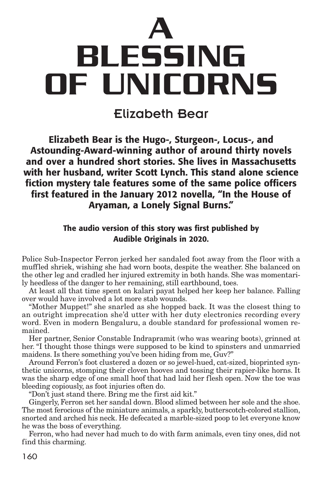

Elizabeth Bear

**Elizabeth Bear is the Hugo-, Sturgeon-, Locus-, and Astounding-Award-winning author of around thirty novels and over a hundred short stories. She lives in Massachusetts with her husband, writer Scott Lynch. This stand alone science fiction mystery tale features some of the same police officers first featured in the January 2012 novella, "In the House of Aryaman, a Lonely Signal Burns."**

## **The audio version of this story was first published by Audible Originals in 2020.**

Police Sub-Inspector Ferron jerked her sandaled foot away from the floor with a muffled shriek, wishing she had worn boots, despite the weather. She balanced on the other leg and cradled her injured extremity in both hands. She was momentarily heedless of the danger to her remaining, still earthbound, toes.

At least all that time spent on kalari payat helped her keep her balance. Falling over would have involved a lot more stab wounds.

"Mother Muppet!" she snarled as she hopped back. It was the closest thing to an outright imprecation she'd utter with her duty electronics recording every word. Even in modern Bengaluru, a double standard for professional women remained.

Her partner, Senior Constable Indrapramit (who was wearing boots), grinned at her. "I thought those things were supposed to be kind to spinsters and unmarried maidens. Is there something you've been hiding from me, Guv?"

Around Ferron's foot clustered a dozen or so jewel-hued, cat-sized, bioprinted synthetic unicorns, stomping their cloven hooves and tossing their rapier-like horns. It was the sharp edge of one small hoof that had laid her flesh open. Now the toe was bleeding copiously, as foot injuries often do.

"Don't just stand there. Bring me the first aid kit."

Gingerly, Ferron set her sandal down. Blood slimed between her sole and the shoe. The most ferocious of the miniature animals, a sparkly, butterscotch-colored stallion, snorted and arched his neck. He defecated a marble-sized poop to let everyone know he was the boss of everything.

Ferron, who had never had much to do with farm animals, even tiny ones, did not find this charming.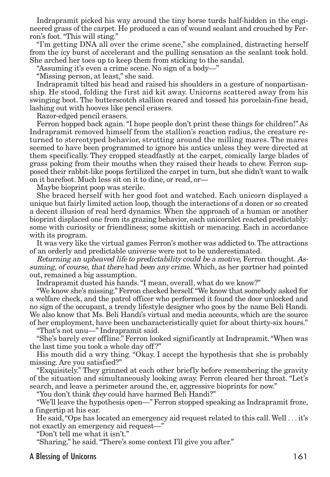Indrapramit picked his way around the tiny horse turds half-hidden in the engineered grass of the carpet. He produced a can of wound sealant and crouched by Ferron's foot."This will sting."

"I'm getting DNA all over the crime scene," she complained, distracting herself from the icy burst of accelerant and the pulling sensation as the sealant took hold. She arched her toes up to keep them from sticking to the sandal.

"Assuming it's even a crime scene. No sign of a body—"

"Missing person, at least," she said.

Indrapramit tilted his head and raised his shoulders in a gesture of nonpartisanship. He stood, folding the first aid kit away. Unicorns scattered away from his swinging boot. The butterscotch stallion reared and tossed his porcelain-fine head, lashing out with hooves like pencil erasers.

Razor-edged pencil erasers.

Ferron hopped back again."I hope people don't print these things for children!" As Indrapramit removed himself from the stallion's reaction radius, the creature returned to stereotyped behavior, strutting around the milling mares. The mares seemed to have been programmed to ignore his antics unless they were directed at them specifically. They cropped steadfastly at the carpet, comically large blades of grass poking from their mouths when they raised their heads to chew. Ferron supposed their rabbit-like poops fertilized the carpet in turn, but she didn't want to walk on it barefoot. Much less sit on it to dine, or read, or—

Maybe bioprint poop was sterile.

She braced herself with her good foot and watched. Each unicorn displayed a unique but fairly limited action loop,though the interactions of a dozen or so created a decent illusion of real herd dynamics. When the approach of a human or another bioprint displaced one from its grazing behavior, each unicornlet reacted predictably: some with curiosity or friendliness; some skittish or menacing. Each in accordance with its program.

It was very like the virtual games Ferron's mother was addicted to.The attractions of an orderly and predictable universe were not to be underestimated.

Returning an upheaved life to predictability could be <sup>a</sup> motive, Ferron thought. Assuming, of course, that there had been any crime. Which, as her partner had pointed out, remained a big assumption.

Indrapramit dusted his hands."I mean, overall, what do we know?"

"We know she's missing."Ferron checked herself."We know that somebody asked for a welfare check, and the patrol officer who performed it found the door unlocked and no sign of the occupant, a trendy lifestyle designer who goes by the name Beli Handi. We also know that Ms. Beli Handi's virtual and media accounts, which are the source of her employment, have been uncharacteristically quiet for about thirty-six hours."

"That's not unu—" Indrapramit said.

"She's barely ever offline." Ferron looked significantly at Indrapramit."When was the last time you took a whole day off ?"

His mouth did a wry thing. "Okay. I accept the hypothesis that she is probably missing. Are you satisfied?"

"Exquisitely." They grinned at each other briefly before remembering the gravity of the situation and simultaneously looking away. Ferron cleared her throat. "Let's search, and leave a perimeter around the, er, aggressive bioprints for now."

"You don't think they could have harmed Beli Handi?"

"We'll leave the hypothesis open—" Ferron stopped speaking as Indrapramit froze, a fingertip at his ear.

He said,"Ops has located an emergency aid request related to this call.Well . . . it's not exactly an emergency aid request—"

"Don't tell me what it isn't."

"Sharing," he said."There's some context I'll give you after."

### A Blessing of Unicorns and the set of the set of the set of the set of the set of the set of the set of the set of the set of the set of the set of the set of the set of the set of the set of the set of the set of the set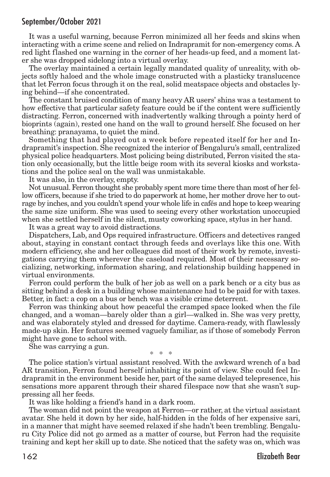It was a useful warning, because Ferron minimized all her feeds and skins when interacting with a crime scene and relied on Indrapramit for non-emergency coms. A red light flashed one warning in the corner of her heads-up feed, and a moment later she was dropped sidelong into a virtual overlay.

The overlay maintained a certain legally mandated quality of unreality, with objects softly haloed and the whole image constructed with a plasticky translucence that let Ferron focus through it on the real, solid meatspace objects and obstacles lying behind—if she concentrated.

The constant bruised condition of many heavy AR users' shins was a testament to how effective that particular safety feature could be if the content were sufficiently distracting. Ferron, concerned with inadvertently walking through a pointy herd of bioprints (again), rested one hand on the wall to ground herself. She focused on her breathing: pranayama, to quiet the mind.

Something that had played out a week before repeated itself for her and Indrapramit's inspection. She recognized the interior of Bengaluru's small, centralized physical police headquarters. Most policing being distributed, Ferron visited the station only occasionally, but the little beige room with its several kiosks and workstations and the police seal on the wall was unmistakable.

It was also, in the overlay, empty.

Not unusual. Ferron thought she probably spent more time there than most of her fellow officers, because if she tried to do paperwork at home, her mother drove her to outrage by inches, and you couldn't spend your whole life in cafés and hope to keep wearing the same size uniform. She was used to seeing every other workstation unoccupied when she settled herself in the silent, musty coworking space, stylus in her hand.

It was a great way to avoid distractions.

Dispatchers, Lab, and Ops required infrastructure. Officers and detectives ranged about, staying in constant contact through feeds and overlays like this one. With modern efficiency, she and her colleagues did most of their work by remote, investigations carrying them wherever the caseload required. Most of their necessary socializing, networking, information sharing, and relationship building happened in virtual environments.

Ferron could perform the bulk of her job as well on a park bench or a city bus as sitting behind a desk in a building whose maintenance had to be paid for with taxes. Better, in fact: a cop on a bus or bench was a visible crime deterrent.

Ferron was thinking about how peaceful the cramped space looked when the file changed, and a woman—barely older than a girl—walked in. She was very pretty, and was elaborately styled and dressed for daytime. Camera-ready, with flawlessly made-up skin. Her features seemed vaguely familiar, as if those of somebody Ferron might have gone to school with.

She was carrying a gun.

\* \* \*

The police station's virtual assistant resolved. With the awkward wrench of a bad AR transition, Ferron found herself inhabiting its point of view. She could feel Indrapramit in the environment beside her, part of the same delayed telepresence, his sensations more apparent through their shared filespace now that she wasn't suppressing all her feeds.

It was like holding a friend's hand in a dark room.

The woman did not point the weapon at Ferron—or rather, at the virtual assistant avatar. She held it down by her side, half-hidden in the folds of her expensive sari, in a manner that might have seemed relaxed if she hadn't been trembling. Bengaluru City Police did not go armed as a matter of course, but Ferron had the requisite training and kept her skill up to date. She noticed that the safety was on, which was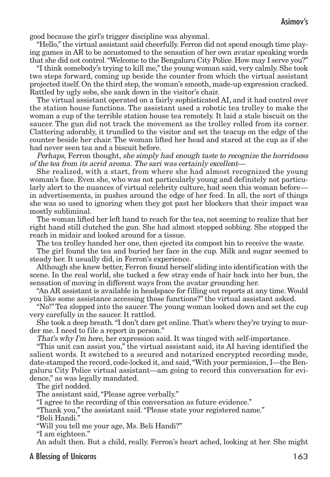good because the girl's trigger discipline was abysmal.

"Hello,"the virtual assistant said cheerfully. Ferron did not spend enough time playing games in AR to be accustomed to the sensation of her own avatar speaking words that she did not control."Welcome to the Bengaluru City Police. How may I serve you?"

"I think somebody's trying to kill me,"the young woman said, very calmly. She took two steps forward, coming up beside the counter from which the virtual assistant projected itself. On the third step, the woman's smooth, made-up expression cracked. Rattled by ugly sobs, she sank down in the visitor's chair.

The virtual assistant operated on a fairly sophisticated AI, and it had control over the station house functions. The assistant used a robotic tea trolley to make the woman a cup of the terrible station house tea remotely. It laid a stale biscuit on the saucer. The gun did not track the movement as the trolley rolled from its corner. Clattering adorably, it trundled to the visitor and set the teacup on the edge of the counter beside her chair. The woman lifted her head and stared at the cup as if she had never seen tea and a biscuit before.

Perhaps, Ferron thought, she simply had enough taste to recognize the horridness of the tea from its acrid aroma. The sari was certainly excellent—

She realized, with a start, from where she had almost recognized the young woman's face. Even she, who was not particularly young and definitely not particularly alert to the nuances of virtual celebrity culture, had seen this woman before in advertisements, in pushes around the edge of her feed. In all, the sort of things she was so used to ignoring when they got past her blockers that their impact was mostly subliminal.

The woman lifted her left hand to reach for the tea, not seeming to realize that her right hand still clutched the gun. She had almost stopped sobbing. She stopped the reach in midair and looked around for a tissue.

The tea trolley handed her one, then ejected its compost bin to receive the waste.

The girl found the tea and buried her face in the cup. Milk and sugar seemed to steady her. It usually did, in Ferron's experience.

Although she knew better, Ferron found herself sliding into identification with the scene. In the real world, she tucked a few stray ends of hair back into her bun, the sensation of moving in different ways from the avatar grounding her.

"An AR assistant is available in headspace for filling out reports at any time.Would you like some assistance accessing those functions?" the virtual assistant asked.

"No!" Tea slopped into the saucer. The young woman looked down and set the cup very carefully in the saucer. It rattled.

She took a deep breath."I don't dare get online.That's where they're trying to murder me. I need to file a report in person."

That's why I'm here, her expression said. It was tinged with self-importance.

"This unit can assist you," the virtual assistant said, its AI having identified the salient words. It switched to a secured and notarized encrypted recording mode, date-stamped the record, code-locked it, and said,"With your permission, I—the Bengaluru City Police virtual assistant—am going to record this conversation for evidence," as was legally mandated.

The girl nodded.

The assistant said,"Please agree verbally."

"I agree to the recording of this conversation as future evidence."

"Thank you," the assistant said."Please state your registered name."

"Beli Handi."

"Will you tell me your age, Ms. Beli Handi?"

"I am eighteen."

An adult then. But a child, really. Ferron's heart ached, looking at her. She might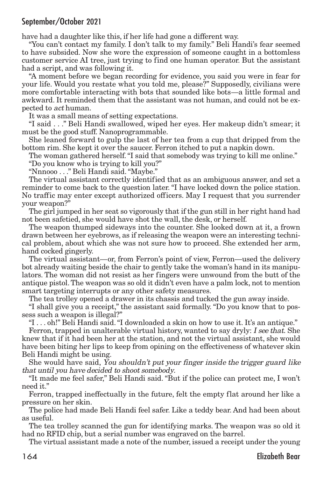have had a daughter like this, if her life had gone a different way.

"You can't contact my family. I don't talk to my family." Beli Handi's fear seemed to have subsided. Now she wore the expression of someone caught in a bottomless customer service AI tree, just trying to find one human operator. But the assistant had a script, and was following it.

"A moment before we began recording for evidence, you said you were in fear for your life. Would you restate what you told me, please?" Supposedly, civilians were more comfortable interacting with bots that sounded like bots—a little formal and awkward. It reminded them that the assistant was not human, and could not be expected to act human.

It was a small means of setting expectations.

"I said . . ." Beli Handi swallowed, wiped her eyes. Her makeup didn't smear; it must be the good stuff. Nanoprogrammable.

She leaned forward to gulp the last of her tea from a cup that dripped from the bottom rim. She kept it over the saucer. Ferron itched to put a napkin down.

The woman gathered herself."I said that somebody was trying to kill me online."

"Do you know who is trying to kill you?"

"Nnnooo . . ." Beli Handi said."Maybe."

The virtual assistant correctly identified that as an ambiguous answer, and set a reminder to come back to the question later. "I have locked down the police station. No traffic may enter except authorized officers. May I request that you surrender your weapon?"

The girl jumped in her seat so vigorously that if the gun still in her right hand had not been safetied, she would have shot the wall, the desk, or herself.

The weapon thumped sideways into the counter. She looked down at it, a frown drawn between her eyebrows, as if releasing the weapon were an interesting technical problem, about which she was not sure how to proceed. She extended her arm, hand cocked gingerly.

The virtual assistant—or, from Ferron's point of view, Ferron—used the delivery bot already waiting beside the chair to gently take the woman's hand in its manipulators. The woman did not resist as her fingers were unwound from the butt of the antique pistol.The weapon was so old it didn't even have a palm lock, not to mention smart targeting interrupts or any other safety measures.

The tea trolley opened a drawer in its chassis and tucked the gun away inside.

"I shall give you a receipt," the assistant said formally. "Do you know that to possess such a weapon is illegal?"

"I . . . oh!" Beli Handi said."I downloaded a skin on how to use it. It's an antique."

Ferron, trapped in unalterable virtual history, wanted to say dryly: I see that. She knew that if it had been her at the station, and not the virtual assistant, she would have been biting her lips to keep from opining on the effectiveness of whatever skin Beli Handi might be using.

She would have said, You shouldn't put your finger inside the trigger guard like that until you have decided to shoot somebody.

"It made me feel safer," Beli Handi said. "But if the police can protect me, I won't need it."

Ferron, trapped ineffectually in the future, felt the empty flat around her like a pressure on her skin.

The police had made Beli Handi feel safer. Like a teddy bear. And had been about as useful.

The tea trolley scanned the gun for identifying marks. The weapon was so old it had no RFID chip, but a serial number was engraved on the barrel.

The virtual assistant made a note of the number, issued a receipt under the young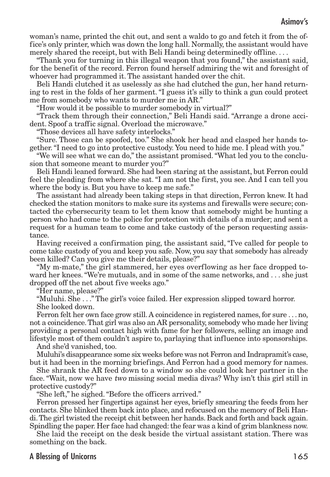woman's name, printed the chit out, and sent a waldo to go and fetch it from the office's only printer, which was down the long hall. Normally, the assistant would have merely shared the receipt, but with Beli Handi being determinedly offline. . . .

"Thank you for turning in this illegal weapon that you found," the assistant said, for the benefit of the record. Ferron found herself admiring the wit and foresight of whoever had programmed it. The assistant handed over the chit.

Beli Handi clutched it as uselessly as she had clutched the gun, her hand returning to rest in the folds of her garment."I guess it's silly to think a gun could protect me from somebody who wants to murder me in AR."

"How would it be possible to murder somebody in virtual?"

"Track them through their connection," Beli Handi said. "Arrange a drone accident. Spoof a traffic signal. Overload the microwave."

"Those devices all have safety interlocks."

"Sure. Those can be spoofed, too." She shook her head and clasped her hands together."I need to go into protective custody. You need to hide me. I plead with you."

"We will see what we can do," the assistant promised."What led you to the conclusion that someone meant to murder you?"

Beli Handi leaned forward. She had been staring at the assistant, but Ferron could feel the pleading from where she sat."I am not the first, you see. And I can tell you where the body is. But you have to keep me safe."

The assistant had already been taking steps in that direction, Ferron knew. It had checked the station monitors to make sure its systems and firewalls were secure; contacted the cybersecurity team to let them know that somebody might be hunting a person who had come to the police for protection with details of a murder; and sent a request for a human team to come and take custody of the person requesting assistance.

Having received a confirmation ping, the assistant said, "I've called for people to come take custody of you and keep you safe. Now, you say that somebody has already been killed? Can you give me their details, please?"

"My m-mate," the girl stammered, her eyes overflowing as her face dropped toward her knees."We're mutuals, and in some of the same networks, and . . . she just dropped off the net about five weeks ago."

"Her name, please?"

"Muluhi. She . . ." The girl's voice failed. Her expression slipped toward horror. She looked down.

Ferron felt her own face grow still. A coincidence in registered names, for sure . . . no, not a coincidence.That girl was also an AR personality, somebody who made her living providing a personal contact high with fame for her followers, selling an image and lifestyle most of them couldn't aspire to, parlaying that influence into sponsorships.

And she'd vanished, too.

Muluhi's disappearance some six weeks before was not Ferron and Indrapramit's case, but it had been in the morning briefings. And Ferron had a good memory for names.

She shrank the AR feed down to a window so she could look her partner in the face. "Wait, now we have two missing social media divas? Why isn't this girl still in protective custody?"

"She left," he sighed."Before the officers arrived."

Ferron pressed her fingertips against her eyes, briefly smearing the feeds from her contacts. She blinked them back into place, and refocused on the memory of Beli Handi.The girl twisted the receipt chit between her hands. Back and forth and back again. Spindling the paper. Her face had changed: the fear was a kind of grim blankness now.

She laid the receipt on the desk beside the virtual assistant station. There was something on the back.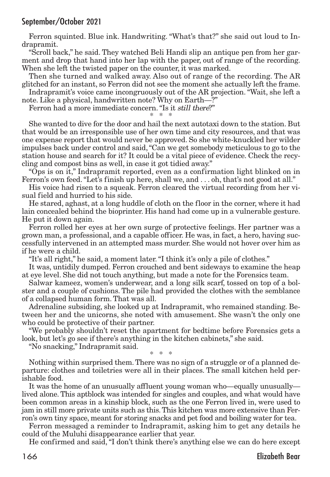Ferron squinted. Blue ink. Handwriting. "What's that?" she said out loud to Indrapramit.

"Scroll back," he said. They watched Beli Handi slip an antique pen from her garment and drop that hand into her lap with the paper, out of range of the recording. When she left the twisted paper on the counter, it was marked.

Then she turned and walked away. Also out of range of the recording. The AR glitched for an instant, so Ferron did not see the moment she actually left the frame.

Indrapramit's voice came incongruously out of the AR projection."Wait, she left a note. Like a physical, handwritten note? Why on Earth—?"

Ferron had a more immediate concern."Is it still there?"

\* \* \*

She wanted to dive for the door and hail the next autotaxi down to the station. But that would be an irresponsible use of her own time and city resources, and that was one expense report that would never be approved. So she white-knuckled her wilder impulses back under control and said,"Can we get somebody meticulous to go to the station house and search for it? It could be a vital piece of evidence. Check the recycling and compost bins as well, in case it got tidied away."

"Ops is on it," Indrapramit reported, even as a confirmation light blinked on in Ferron's own feed."Let's finish up here, shall we, and . . . oh, that's not good at all."

His voice had risen to a squeak. Ferron cleared the virtual recording from her visual field and hurried to his side.

He stared, aghast, at a long huddle of cloth on the floor in the corner, where it had lain concealed behind the bioprinter. His hand had come up in a vulnerable gesture. He put it down again.

Ferron rolled her eyes at her own surge of protective feelings. Her partner was a grown man, a professional, and a capable officer. He was, in fact, a hero, having successfully intervened in an attempted mass murder. She would not hover over him as if he were a child.

"It's all right," he said, a moment later."I think it's only a pile of clothes."

It was, untidily dumped. Ferron crouched and bent sideways to examine the heap at eye level. She did not touch anything, but made a note for the Forensics team.

Salwar kameez, women's underwear, and a long silk scarf, tossed on top of a bolster and a couple of cushions. The pile had provided the clothes with the semblance of a collapsed human form. That was all.

Adrenaline subsiding, she looked up at Indrapramit, who remained standing. Between her and the unicorns, she noted with amusement. She wasn't the only one who could be protective of their partner.

"We probably shouldn't reset the apartment for bedtime before Forensics gets a look, but let's go see if there's anything in the kitchen cabinets," she said.

"No snacking," Indrapramit said.

\* \* \*

Nothing within surprised them.There was no sign of a struggle or of a planned departure: clothes and toiletries were all in their places. The small kitchen held perishable food.

It was the home of an unusually affluent young woman who—equally unusually lived alone. This aptblock was intended for singles and couples, and what would have been common areas in a kinship block, such as the one Ferron lived in, were used to jam in still more private units such as this.This kitchen was more extensive than Ferron's own tiny space, meant for storing snacks and pet food and boiling water for tea.

Ferron messaged a reminder to Indrapramit, asking him to get any details he could of the Muluhi disappearance earlier that year.

He confirmed and said,"I don't think there's anything else we can do here except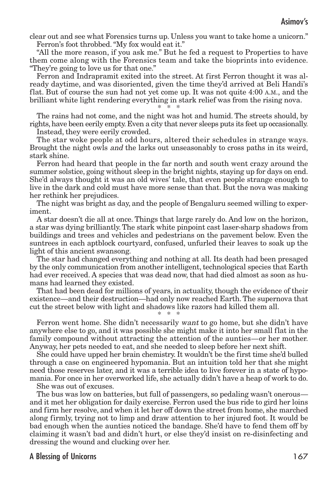clear out and see what Forensics turns up. Unless you want to take home a unicorn." Ferron's foot throbbed."My fox would eat it."

"All the more reason, if you ask me." But he fed a request to Properties to have them come along with the Forensics team and take the bioprints into evidence. "They're going to love us for that one."

Ferron and Indrapramit exited into the street. At first Ferron thought it was already daytime, and was disoriented, given the time they'd arrived at Beli Handi's flat. But of course the sun had not yet come up. It was not quite 4:00 A.M., and the brilliant white light rendering everything in stark relief was from the rising nova. \* \* \*

The rains had not come, and the night was hot and humid. The streets should, by rights, have been eerily empty. Even a city that never sleeps puts its feet up occasionally.

Instead, they were eerily crowded.

The star woke people at odd hours, altered their schedules in strange ways. Brought the night owls and the larks out unseasonably to cross paths in its weird, stark shine.

Ferron had heard that people in the far north and south went crazy around the summer solstice, going without sleep in the bright nights, staying up for days on end. She'd always thought it was an old wives' tale, that even people strange enough to live in the dark and cold must have more sense than that. But the nova was making her rethink her prejudices.

The night was bright as day, and the people of Bengaluru seemed willing to experiment.

A star doesn't die all at once. Things that large rarely do. And low on the horizon, a star was dying brilliantly.The stark white pinpoint cast laser-sharp shadows from buildings and trees and vehicles and pedestrians on the pavement below. Even the suntrees in each aptblock courtyard, confused, unfurled their leaves to soak up the light of this ancient swansong.

The star had changed everything and nothing at all. Its death had been presaged by the only communication from another intelligent, technological species that Earth had ever received. A species that was dead now, that had died almost as soon as humans had learned they existed.

That had been dead for millions of years, in actuality, though the evidence of their existence—and their destruction—had only now reached Earth.The supernova that cut the street below with light and shadows like razors had killed them all.

\* \* \* Ferron went home. She didn't necessarily want to go home, but she didn't have anywhere else to go, and it was possible she might make it into her small flat in the family compound without attracting the attention of the aunties—or her mother. Anyway, her pets needed to eat, and she needed to sleep before her next shift.

She could have upped her brain chemistry. It wouldn't be the first time she'd bulled through a case on engineered hypomania. But an intuition told her that she might need those reserves later, and it was a terrible idea to live forever in a state of hypomania. For once in her overworked life, she actually didn't have a heap of work to do.

She was out of excuses.

The bus was low on batteries, but full of passengers, so pedaling wasn't onerous and it met her obligation for daily exercise. Ferron used the bus ride to gird her loins and firm her resolve, and when it let her off down the street from home, she marched along firmly, trying not to limp and draw attention to her injured foot. It would be bad enough when the aunties noticed the bandage. She'd have to fend them off by claiming it wasn't bad and didn't hurt, or else they'd insist on re-disinfecting and dressing the wound and clucking over her.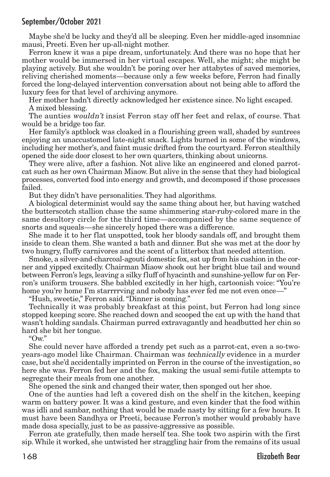Maybe she'd be lucky and they'd all be sleeping. Even her middle-aged insomniac mausi, Preeti. Even her up-all-night mother.

Ferron knew it was a pipe dream, unfortunately. And there was no hope that her mother would be immersed in her virtual escapes. Well, she might; she might be playing actively. But she wouldn't be poring over her attabytes of saved memories, reliving cherished moments—because only a few weeks before, Ferron had finally forced the long-delayed intervention conversation about not being able to afford the luxury fees for that level of archiving anymore.

Her mother hadn't directly acknowledged her existence since. No light escaped. A mixed blessing.

The aunties wouldn't insist Ferron stay off her feet and relax, of course. That would be a bridge too far.

Her family's aptblock was cloaked in a flourishing green wall, shaded by suntrees enjoying an unaccustomed late-night snack. Lights burned in some of the windows, including her mother's, and faint music drifted from the courtyard. Ferron stealthily opened the side door closest to her own quarters, thinking about unicorns.

They were alive, after a fashion. Not alive like an engineered and cloned parrotcat such as her own Chairman Miaow. But alive in the sense that they had biological processes, converted food into energy and growth, and decomposed if those processes failed.

But they didn't have personalities. They had algorithms.

A biological determinist would say the same thing about her, but having watched the butterscotch stallion chase the same shimmering star-ruby-colored mare in the same desultory circle for the third time—accompanied by the same sequence of snorts and squeals—she sincerely hoped there was a difference.

She made it to her flat unspotted, took her bloody sandals off, and brought them inside to clean them. She wanted a bath and dinner. But she was met at the door by two hungry, fluffy carnivores and the scent of a litterbox that needed attention.

Smoke, a silver-and-charcoal-agouti domestic fox, sat up from his cushion in the corner and yipped excitedly. Chairman Miaow shook out her bright blue tail and wound between Ferron's legs, leaving a silky fluff of hyacinth and sunshine-yellow fur on Ferron's uniform trousers. She babbled excitedly in her high, cartoonish voice: "You're home you're home I'm starrrrving and nobody has ever fed me not even once—"

"Hush, sweetie," Ferron said."Dinner is coming."

Technically it was probably breakfast at this point, but Ferron had long since stopped keeping score. She reached down and scooped the cat up with the hand that wasn't holding sandals. Chairman purred extravagantly and headbutted her chin so hard she bit her tongue.

" $\alpha$ "

She could never have afforded a trendy pet such as a parrot-cat, even a so-twoyears-ago model like Chairman. Chairman was technically evidence in a murder case, but she'd accidentally imprinted on Ferron in the course of the investigation, so here she was. Ferron fed her and the fox, making the usual semi-futile attempts to segregate their meals from one another.

She opened the sink and changed their water, then sponged out her shoe.

One of the aunties had left a covered dish on the shelf in the kitchen, keeping warm on battery power. It was a kind gesture, and even kinder that the food within was idli and sambar, nothing that would be made nasty by sitting for a few hours. It must have been Sandhya or Preeti, because Ferron's mother would probably have made dosa specially, just to be as passive-aggressive as possible.

Ferron ate gratefully, then made herself tea. She took two aspirin with the first sip.While it worked, she untwisted her straggling hair from the remains of its usual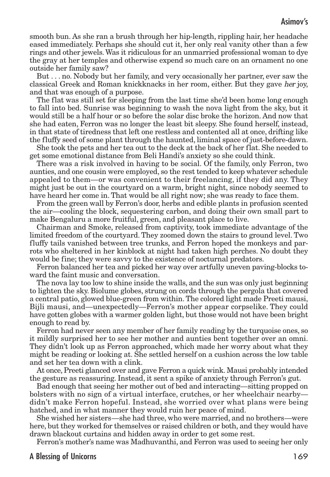### Asimov's

smooth bun. As she ran a brush through her hip-length, rippling hair, her headache eased immediately. Perhaps she should cut it, her only real vanity other than a few rings and other jewels.Was it ridiculous for an unmarried professional woman to dye the gray at her temples and otherwise expend so much care on an ornament no one outside her family saw?

But . . . no. Nobody but her family, and very occasionally her partner, ever saw the classical Greek and Roman knickknacks in her room, either. But they gave her joy, and that was enough of a purpose.

The flat was still set for sleeping from the last time she'd been home long enough to fall into bed. Sunrise was beginning to wash the nova light from the sky, but it would still be a half hour or so before the solar disc broke the horizon. And now that she had eaten, Ferron was no longer the least bit sleepy. She found herself, instead, in that state of tiredness that left one restless and contented all at once, drifting like the fluffy seed of some plant through the haunted, liminal space of just-before-dawn.

She took the pets and her tea out to the deck at the back of her flat. She needed to get some emotional distance from Beli Handi's anxiety so she could think.

There was a risk involved in having to be social. Of the family, only Ferron, two aunties, and one cousin were employed, so the rest tended to keep whatever schedule appealed to them—or was convenient to their freelancing, if they did any. They might just be out in the courtyard on a warm, bright night, since nobody seemed to have heard her come in. That would be all right now; she was ready to face them.

From the green wall by Ferron's door, herbs and edible plants in profusion scented the air—cooling the block, sequestering carbon, and doing their own small part to make Bengaluru a more fruitful, green, and pleasant place to live.

Chairman and Smoke, released from captivity, took immediate advantage of the limited freedom of the courtyard. They zoomed down the stairs to ground level. Two fluffy tails vanished between tree trunks, and Ferron hoped the monkeys and parrots who sheltered in her kinblock at night had taken high perches. No doubt they would be fine; they were savvy to the existence of nocturnal predators.

Ferron balanced her tea and picked her way over artfully uneven paving-blocks toward the faint music and conversation.

The nova lay too low to shine inside the walls, and the sun was only just beginning to lighten the sky. Biolume globes, strung on cords through the pergola that covered a central patio, glowed blue-green from within.The colored light made Preeti mausi, Bijli mausi, and—unexpectedly—Ferron's mother appear corpselike. They could have gotten globes with a warmer golden light, but those would not have been bright enough to read by.

Ferron had never seen any member of her family reading by the turquoise ones, so it mildly surprised her to see her mother and aunties bent together over an omni. They didn't look up as Ferron approached, which made her worry about what they might be reading or looking at. She settled herself on a cushion across the low table and set her tea down with a clink.

At once, Preeti glanced over and gave Ferron a quick wink. Mausi probably intended the gesture as reassuring. Instead, it sent a spike of anxiety through Ferron's gut.

Bad enough that seeing her mother out of bed and interacting—sitting propped on bolsters with no sign of a virtual interface, crutches, or her wheelchair nearby didn't make Ferron hopeful. Instead, she worried over what plans were being hatched, and in what manner they would ruin her peace of mind.

She wished her sisters—she had three, who were married, and no brothers—were here, but they worked for themselves or raised children or both, and they would have drawn blackout curtains and hidden away in order to get some rest.

Ferron's mother's name was Madhuvanthi, and Ferron was used to seeing her only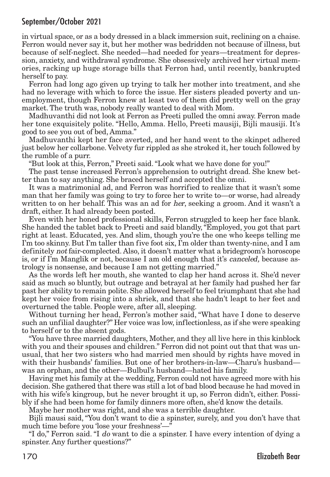in virtual space, or as a body dressed in a black immersion suit, reclining on a chaise. Ferron would never say it, but her mother was bedridden not because of illness, but because of self-neglect. She needed—had needed for years—treatment for depression, anxiety, and withdrawal syndrome. She obsessively archived her virtual memories, racking up huge storage bills that Ferron had, until recently, bankrupted herself to pay.

Ferron had long ago given up trying to talk her mother into treatment, and she had no leverage with which to force the issue. Her sisters pleaded poverty and unemployment, though Ferron knew at least two of them did pretty well on the gray market. The truth was, nobody really wanted to deal with Mom.

Madhuvanthi did not look at Ferron as Preeti pulled the omni away. Ferron made her tone exquisitely polite. "Hello, Amma. Hello, Preeti mausiji, Bijli mausiji. It's good to see you out of bed, Amma."

Madhuvanthi kept her face averted, and her hand went to the skinpet adhered just below her collarbone. Velvety fur rippled as she stroked it, her touch followed by the rumble of a purr.

"But look at this, Ferron," Preeti said."Look what we have done for you!"

The past tense increased Ferron's apprehension to outright dread. She knew better than to say anything. She braced herself and accepted the omni.

It was a matrimonial ad, and Ferron was horrified to realize that it wasn't some man that her family was going to try to force her to write to—or worse, had already written to on her behalf. This was an ad for her, seeking a groom. And it wasn't a draft, either. It had already been posted.

Even with her honed professional skills, Ferron struggled to keep her face blank. She handed the tablet back to Preeti and said blandly,"Employed, you got that part right at least. Educated, yes. And slim, though you're the one who keeps telling me I'm too skinny. But I'm taller than five foot six, I'm older than twenty-nine, and I am definitely not fair-complected. Also, it doesn't matter what a bridegroom's horoscope is, or if I'm Manglik or not, because I am old enough that it's *canceled*, because astrology is nonsense, and because I am not getting married."

As the words left her mouth, she wanted to clap her hand across it. She'd never said as much so bluntly, but outrage and betrayal at her family had pushed her far past her ability to remain polite. She allowed herself to feel triumphant that she had kept her voice from rising into a shriek, and that she hadn't leapt to her feet and overturned the table. People were, after all, sleeping.

Without turning her head, Ferron's mother said, "What have I done to deserve such an unfilial daughter?" Her voice was low, inflectionless, as if she were speaking to herself or to the absent gods.

"You have three married daughters, Mother, and they all live here in this kinblock with you and their spouses and children." Ferron did not point out that that was unusual, that her two sisters who had married men should by rights have moved in with their husbands' families. But one of her brothers-in-law—Charu's husband was an orphan, and the other—Bulbul's husband—hated his family.

Having met his family at the wedding, Ferron could not have agreed more with his decision. She gathered that there was still a lot of bad blood because he had moved in with his wife's kingroup, but he never brought it up, so Ferron didn't, either. Possibly if she had been home for family dinners more often, she'd know the details.

Maybe her mother was right, and she was a terrible daughter.

Bijli mausi said, "You don't want to die a spinster, surely, and you don't have that much time before you 'lose your freshness'—"

"I do," Ferron said. "I do want to die a spinster. I have every intention of dying a spinster. Any further questions?"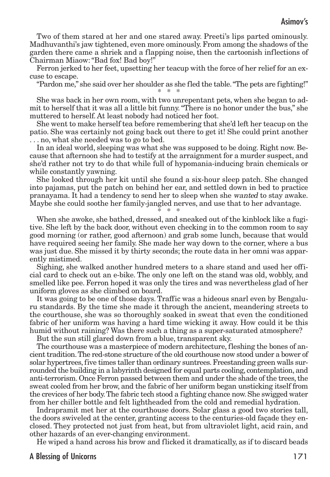Two of them stared at her and one stared away. Preeti's lips parted ominously. Madhuvanthi's jaw tightened, even more ominously. From among the shadows of the garden there came a shriek and a flapping noise, then the cartoonish inflections of Chairman Miaow:"Bad fox! Bad boy!"

Ferron jerked to her feet, upsetting her teacup with the force of her relief for an excuse to escape.

"Pardon me," she said over her shoulder as she fled the table."The pets are fighting!" \* \* \*

She was back in her own room, with two unrepentant pets, when she began to admit to herself that it was all a little bit funny."There is no honor under the bus," she muttered to herself. At least nobody had noticed her foot.

She went to make herself tea before remembering that she'd left her teacup on the patio. She was certainly not going back out there to get it! She could print another . . . no, what she needed was to go to bed.

In an ideal world, sleeping was what she was supposed to be doing. Right now. Because that afternoon she had to testify at the arraignment for a murder suspect, and she'd rather not try to do that while full of hypomania-inducing brain chemicals or while constantly yawning.

She looked through her kit until she found a six-hour sleep patch. She changed into pajamas, put the patch on behind her ear, and settled down in bed to practice pranayama. It had a tendency to send her to sleep when she wanted to stay awake. Maybe she could soothe her family-jangled nerves, and use that to her advantage.

\* \* \*

When she awoke, she bathed, dressed, and sneaked out of the kinblock like a fugitive. She left by the back door, without even checking in to the common room to say good morning (or rather, good afternoon) and grab some lunch, because that would have required seeing her family. She made her way down to the corner, where a bus was just due. She missed it by thirty seconds; the route data in her omni was apparently mistimed.

Sighing, she walked another hundred meters to a share stand and used her official card to check out an e-bike. The only one left on the stand was old, wobbly, and smelled like pee. Ferron hoped it was only the tires and was nevertheless glad of her uniform gloves as she climbed on board.

It was going to be one of those days. Traffic was a hideous snarl even by Bengaluru standards. By the time she made it through the ancient, meandering streets to the courthouse, she was so thoroughly soaked in sweat that even the conditioned fabric of her uniform was having a hard time wicking it away. How could it be this humid without raining? Was there such a thing as a super-saturated atmosphere?

But the sun still glared down from a blue, transparent sky.

The courthouse was a masterpiece of modern architecture, fleshing the bones of ancient tradition. The red-stone structure of the old courthouse now stood under a bower of solar hypertrees, five times taller than ordinary suntrees. Freestanding green walls surrounded the building in a labyrinth designed for equal parts cooling, contemplation, and anti-terrorism. Once Ferron passed between them and under the shade of the trees, the sweat cooled from her brow, and the fabric of her uniform began unsticking itself from the crevices of her body.The fabric tech stood a fighting chance now. She swigged water from her chiller bottle and felt lightheaded from the cold and remedial hydration.

Indrapramit met her at the courthouse doors. Solar glass a good two stories tall, the doors swiveled at the center, granting access to the centuries-old façade they enclosed. They protected not just from heat, but from ultraviolet light, acid rain, and other hazards of an ever-changing environment.

He wiped a hand across his brow and flicked it dramatically, as if to discard beads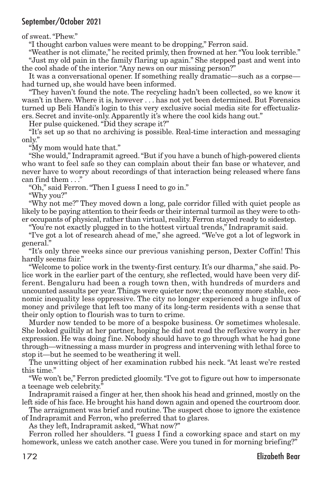of sweat."Phew."

"I thought carbon values were meant to be dropping," Ferron said.

"Weather is not climate," he recited primly, then frowned at her. "You look terrible." "Just my old pain in the family flaring up again." She stepped past and went into the cool shade of the interior."Any news on our missing person?"

It was a conversational opener. If something really dramatic—such as a corpse had turned up, she would have been informed.

"They haven't found the note. The recycling hadn't been collected, so we know it wasn't in there. Where it is, however . . . has not yet been determined. But Forensics turned up Beli Handi's login to this very exclusive social media site for effectualizers. Secret and invite-only. Apparently it's where the cool kids hang out."

Her pulse quickened."Did they scrape it?"

"It's set up so that no archiving is possible. Real-time interaction and messaging only."

"My mom would hate that."

"She would," Indrapramit agreed."But if you have a bunch of high-powered clients who want to feel safe so they can complain about their fan base or whatever, and never have to worry about recordings of that interaction being released where fans can find them . . ."

"Oh," said Ferron."Then I guess I need to go in."

"Why you?"

"Why not me?" They moved down a long, pale corridor filled with quiet people as likely to be paying attention to their feeds or their internal turmoil as they were to other occupants of physical, rather than virtual, reality. Ferron stayed ready to sidestep.

"You're not exactly plugged in to the hottest virtual trends," Indrapramit said.

"I've got a lot of research ahead of me," she agreed. "We've got a lot of legwork in general."

"It's only three weeks since our previous vanishing person, Dexter Coffin! This hardly seems fair."

"Welcome to police work in the twenty-first century. It's our dharma," she said. Police work in the earlier part of the century, she reflected, would have been very different. Bengaluru had been a rough town then, with hundreds of murders and uncounted assaults per year.Things were quieter now;the economy more stable, economic inequality less oppressive. The city no longer experienced a huge influx of money and privilege that left too many of its long-term residents with a sense that their only option to flourish was to turn to crime.

Murder now tended to be more of a bespoke business. Or sometimes wholesale. She looked guiltily at her partner, hoping he did not read the reflexive worry in her expression. He was doing fine. Nobody should have to go through what he had gone through—witnessing a mass murder in progress and intervening with lethal force to stop it—but he seemed to be weathering it well.

The unwitting object of her examination rubbed his neck. "At least we're rested this time."

"We won't be," Ferron predicted gloomily."I've got to figure out how to impersonate a teenage web celebrity."

Indrapramit raised a finger at her, then shook his head and grinned, mostly on the left side of his face. He brought his hand down again and opened the courtroom door.

The arraignment was brief and routine. The suspect chose to ignore the existence of Indrapramit and Ferron, who preferred that to glares.

As they left, Indrapramit asked,"What now?"

Ferron rolled her shoulders. "I guess I find a coworking space and start on my homework, unless we catch another case. Were you tuned in for morning briefing?"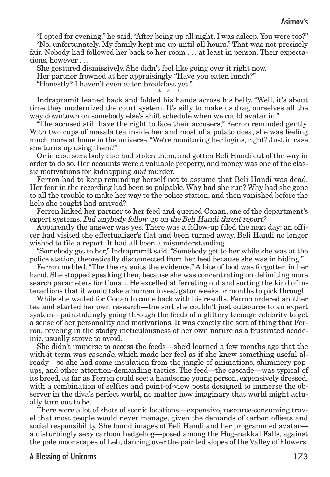"I opted for evening," he said."After being up all night, I was asleep. You were too?"

"No, unfortunately. My family kept me up until all hours." That was not precisely fair. Nobody had followed her back to her room . . . at least in person. Their expectations, however . . .

She gestured dismissively. She didn't feel like going over it right now. Her partner frowned at her appraisingly."Have you eaten lunch?"

"Honestly? I haven't even eaten breakfast yet."

\* \* \*

Indrapramit leaned back and folded his hands across his belly. "Well, it's about time they modernized the court system. It's silly to make us drag ourselves all the way downtown on somebody else's shift schedule when we could avatar in."

"The accused still have the right to face their accusers," Ferron reminded gently. With two cups of masala tea inside her and most of a potato dosa, she was feeling much more at home in the universe."We're monitoring her logins, right? Just in case she turns up using them?"

Or in case somebody else had stolen them, and gotten Beli Handi out of the way in order to do so. Her accounts were a valuable property, and money was one of the classic motivations for kidnapping and murder.

Ferron had to keep reminding herself not to assume that Beli Handi was dead. Her fear in the recording had been so palpable.Why had she run? Why had she gone to all the trouble to make her way to the police station, and then vanished before the help she sought had arrived?

Ferron linked her partner to her feed and queried Conan, one of the department's expert systems. Did anybody follow up on the Beli Handi threat report?

Apparently the answer was yes. There was a follow-up filed the next day: an officer had visited the effectualizer's flat and been turned away. Beli Handi no longer wished to file a report. It had all been a misunderstanding.

"Somebody got to her," Indrapramit said."Somebody got to her while she was at the police station, theoretically disconnected from her feed because she was in hiding."

Ferron nodded."The theory suits the evidence." A bite of food was forgotten in her hand. She stopped speaking then, because she was concentrating on delimiting more search parameters for Conan. He excelled at ferreting out and sorting the kind of interactions that it would take a human investigator weeks or months to pick through.

While she waited for Conan to come back with his results, Ferron ordered another tea and started her own research—the sort she couldn't just outsource to an expert system—painstakingly going through the feeds of a glittery teenage celebrity to get a sense of her personality and motivations. It was exactly the sort of thing that Ferron, reveling in the stodgy meticulousness of her own nature as a frustrated academic, usually strove to avoid.

She didn't immerse to access the feeds—she'd learned a few months ago that the with-it term was *cascade*, which made her feel as if she knew something useful already—so she had some insulation from the jangle of animations, shimmery popups, and other attention-demanding tactics. The feed—the cascade—was typical of its breed, as far as Ferron could see: a handsome young person, expensively dressed, with a combination of selfies and point-of-view posts designed to immerse the observer in the diva's perfect world, no matter how imaginary that world might actually turn out to be.

There were a lot of shots of scenic locations—expensive, resource-consuming travel that most people would never manage, given the demands of carbon offsets and social responsibility. She found images of Beli Handi and her programmed avatar a disturbingly sexy cartoon hedgehog—posed among the Hogenakkal Falls, against the pale moonscapes of Leh, dancing over the painted slopes of the Valley of Flowers.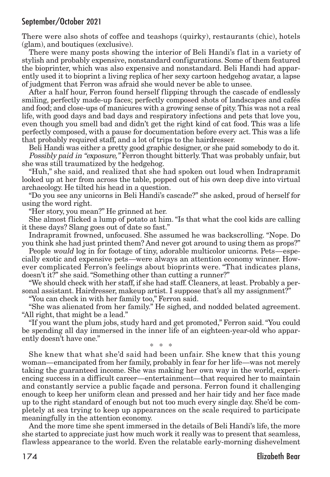There were also shots of coffee and teashops (quirky), restaurants (chic), hotels (glam), and boutiques (exclusive).

There were many posts showing the interior of Beli Handi's flat in a variety of stylish and probably expensive, nonstandard configurations. Some of them featured the bioprinter, which was also expensive and nonstandard. Beli Handi had apparently used it to bioprint a living replica of her sexy cartoon hedgehog avatar, a lapse of judgment that Ferron was afraid she would never be able to unsee.

After a half hour, Ferron found herself flipping through the cascade of endlessly smiling, perfectly made-up faces; perfectly composed shots of landscapes and cafés and food; and close-ups of manicures with a growing sense of pity.This was not a real life, with good days and bad days and respiratory infections and pets that love you, even though you smell bad and didn't get the right kind of cat food. This was a life perfectly composed, with a pause for documentation before every act. This was a life that probably required staff, and a lot of trips to the hairdresser.

Beli Handi was either a pretty good graphic designer, or she paid somebody to do it. Possibly paid in "exposure," Ferron thought bitterly.That was probably unfair, but she was still traumatized by the hedgehog.

"Huh," she said, and realized that she had spoken out loud when Indrapramit looked up at her from across the table, popped out of his own deep dive into virtual archaeology. He tilted his head in a question.

"Do you see any unicorns in Beli Handi's cascade?" she asked, proud of herself for using the word right.

"Her story, you mean?" He grinned at her.

She almost flicked a lump of potato at him."Is that what the cool kids are calling it these days? Slang goes out of date so fast."

Indrapramit frowned, unfocused. She assumed he was backscrolling. "Nope. Do you think she had just printed them? And never got around to using them as props?"

People would log in for footage of tiny, adorable multicolor unicorns. Pets—especially exotic and expensive pets—were always an attention economy winner. However complicated Ferron's feelings about bioprints were. "That indicates plans, doesn't it?" she said."Something other than cutting a runner?"

"We should check with her staff, if she had staff. Cleaners, at least. Probably a personal assistant. Hairdresser, makeup artist. I suppose that's all my assignment?"

"You can check in with her family too," Ferron said.

"She was alienated from her family." He sighed, and nodded belated agreement. "All right, that might be a lead."

"If you want the plum jobs, study hard and get promoted," Ferron said."You could be spending all day immersed in the inner life of an eighteen-year-old who apparently doesn't have one." \* \* \*

She knew that what she'd said had been unfair. She knew that this young woman—emancipated from her family, probably in fear for her life—was not merely taking the guaranteed income. She was making her own way in the world, experiencing success in a difficult career—entertainment—that required her to maintain and constantly service a public façade and persona. Ferron found it challenging enough to keep her uniform clean and pressed and her hair tidy and her face made up to the right standard of enough but not too much every single day. She'd be completely at sea trying to keep up appearances on the scale required to participate meaningfully in the attention economy.

And the more time she spent immersed in the details of Beli Handi's life, the more she started to appreciate just how much work it really was to present that seamless, flawless appearance to the world. Even the relatable early-morning dishevelment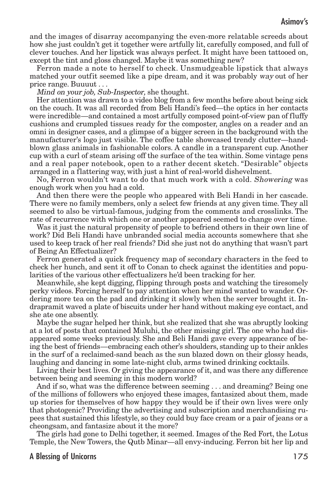and the images of disarray accompanying the even-more relatable screeds about how she just couldn't get it together were artfully lit, carefully composed, and full of clever touches. And her lipstick was always perfect. It might have been tattooed on, except the tint and gloss changed. Maybe it was something new?

Ferron made a note to herself to check. Unsmudgeable lipstick that always matched your outfit seemed like a pipe dream, and it was probably way out of her price range. Buuuut . . .

Mind on your job, Sub-Inspector, she thought.

Her attention was drawn to a video blog from a few months before about being sick on the couch. It was all recorded from Beli Handi's feed—the optics in her contacts were incredible—and contained a most artfully composed point-of-view pan of fluffy cushions and crumpled tissues ready for the composter, angles on a reader and an omni in designer cases, and a glimpse of a bigger screen in the background with the manufacturer's logo just visible. The coffee table showcased trendy clutter—handblown glass animals in fashionable colors. A candle in a transparent cup. Another cup with a curl of steam arising off the surface of the tea within. Some vintage pens and a real paper notebook, open to a rather decent sketch. "Desirable" objects arranged in a flattering way, with just a hint of real-world dishevelment.

No, Ferron wouldn't want to do that much work with a cold. Showering was enough work when you had a cold.

And then there were the people who appeared with Beli Handi in her cascade. There were no family members, only a select few friends at any given time. They all seemed to also be virtual-famous, judging from the comments and crosslinks. The rate of recurrence with which one or another appeared seemed to change over time.

Was it just the natural propensity of people to befriend others in their own line of work? Did Beli Handi have unbranded social media accounts somewhere that she used to keep track of her real friends? Did she just not do anything that wasn't part of Being An Effectualizer?

Ferron generated a quick frequency map of secondary characters in the feed to check her hunch, and sent it off to Conan to check against the identities and popularities of the various other effectualizers he'd been tracking for her.

Meanwhile, she kept digging, flipping through posts and watching the tiresomely perky videos. Forcing herself to pay attention when her mind wanted to wander. Ordering more tea on the pad and drinking it slowly when the server brought it. Indrapramit waved a plate of biscuits under her hand without making eye contact, and she ate one absently.

Maybe the sugar helped her think, but she realized that she was abruptly looking at a lot of posts that contained Muluhi, the other missing girl. The one who had disappeared some weeks previously. She and Beli Handi gave every appearance of being the best of friends—embracing each other's shoulders, standing up to their ankles in the surf of a reclaimed-sand beach as the sun blazed down on their glossy heads, laughing and dancing in some late-night club, arms twined drinking cocktails.

Living their best lives. Or giving the appearance of it, and was there any difference between being and seeming in this modern world?

And if so, what was the difference between seeming . . . and dreaming? Being one of the millions of followers who enjoyed these images, fantasized about them, made up stories for themselves of how happy they would be if their own lives were only that photogenic? Providing the advertising and subscription and merchandising rupees that sustained this lifestyle, so they could buy face cream or a pair of jeans or a cheongsam, and fantasize about it the more?

The girls had gone to Delhi together, it seemed. Images of the Red Fort, the Lotus Temple, the New Towers, the Qutb Minar—all envy-inducing. Ferron bit her lip and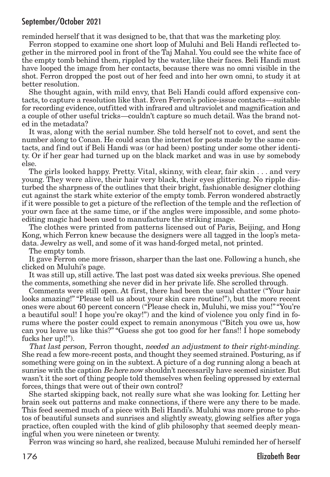reminded herself that it was designed to be, that that was the marketing ploy.

Ferron stopped to examine one short loop of Muluhi and Beli Handi reflected together in the mirrored pool in front of the Taj Mahal. You could see the white face of the empty tomb behind them, rippled by the water, like their faces. Beli Handi must have looped the image from her contacts, because there was no omni visible in the shot. Ferron dropped the post out of her feed and into her own omni, to study it at better resolution.

She thought again, with mild envy, that Beli Handi could afford expensive contacts,to capture a resolution like that. Even Ferron's police-issue contacts—suitable for recording evidence, outfitted with infrared and ultraviolet and magnification and a couple of other useful tricks—couldn't capture so much detail. Was the brand noted in the metadata?

It was, along with the serial number. She told herself not to covet, and sent the number along to Conan. He could scan the internet for posts made by the same contacts, and find out if Beli Handi was (or had been) posting under some other identity. Or if her gear had turned up on the black market and was in use by somebody else.

The girls looked happy. Pretty. Vital, skinny, with clear, fair skin . . . and very young. They were alive, their hair very black, their eyes glittering. No ripple disturbed the sharpness of the outlines that their bright, fashionable designer clothing cut against the stark white exterior of the empty tomb. Ferron wondered abstractly if it were possible to get a picture of the reflection of the temple and the reflection of your own face at the same time, or if the angles were impossible, and some photoediting magic had been used to manufacture the striking image.

The clothes were printed from patterns licensed out of Paris, Beijing, and Hong Kong, which Ferron knew because the designers were all tagged in the loop's metadata. Jewelry as well, and some of it was hand-forged metal, not printed.

The empty tomb.

It gave Ferron one more frisson, sharper than the last one. Following a hunch, she clicked on Muluhi's page.

It was still up, still active.The last post was dated six weeks previous. She opened the comments, something she never did in her private life. She scrolled through.

Comments were still open. At first, there had been the usual chatter ("Your hair looks amazing!" "Please tell us about your skin care routine!"), but the more recent ones were about 60 percent concern ("Please check in, Muluhi, we miss you!""You're a beautiful soul! I hope you're okay!") and the kind of violence you only find in forums where the poster could expect to remain anonymous ("Bitch you owe us, how can you leave us like this?" "Guess she got too good for her fans!! I hope somebody fucks her up!!").

That last person, Ferron thought, needed an adjustment to their right-minding. She read a few more-recent posts, and thought they seemed strained. Posturing, as if something were going on in the subtext. A picture of a dog running along a beach at sunrise with the caption Be here now shouldn't necessarily have seemed sinister. But wasn't it the sort of thing people told themselves when feeling oppressed by external forces, things that were out of their own control?

She started skipping back, not really sure what she was looking for. Letting her brain seek out patterns and make connections, if there were any there to be made. This feed seemed much of a piece with Beli Handi's. Muluhi was more prone to photos of beautiful sunsets and sunrises and slightly sweaty, glowing selfies after yoga practice, often coupled with the kind of glib philosophy that seemed deeply meaningful when you were nineteen or twenty.

Ferron was wincing so hard, she realized, because Muluhi reminded her of herself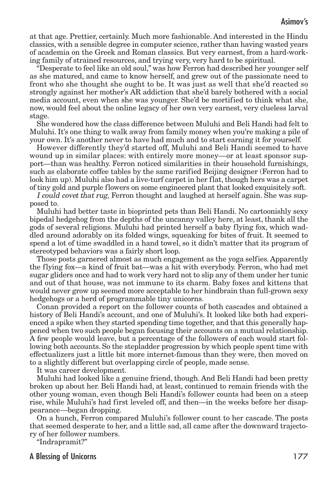at that age. Prettier, certainly. Much more fashionable. And interested in the Hindu classics, with a sensible degree in computer science, rather than having wasted years of academia on the Greek and Roman classics. But very earnest, from a hard-working family of strained resources, and trying very, very hard to be spiritual.

"Desperate to feel like an old soul," was how Ferron had described her younger self as she matured, and came to know herself, and grew out of the passionate need to front who she thought she ought to be. It was just as well that she'd reacted so strongly against her mother's AR addiction that she'd barely bothered with a social media account, even when she was younger. She'd be mortified to think what she, now, would feel about the online legacy of her own very earnest, very clueless larval stage.

She wondered how the class difference between Muluhi and Beli Handi had felt to Muluhi. It's one thing to walk away from family money when you're making a pile of your own. It's another never to have had much and to start earning it for yourself.

However differently they'd started off, Muluhi and Beli Handi seemed to have wound up in similar places: with entirely more money—or at least sponsor support—than was healthy. Ferron noticed similarities in their household furnishings, such as elaborate coffee tables by the same rarified Beijing designer (Ferron had to look him up). Muluhi also had a live-turf carpet in her flat, though hers was a carpet of tiny gold and purple flowers on some engineered plant that looked exquisitely soft.

I could covet that rug, Ferron thought and laughed at herself again. She was supposed to.

Muluhi had better taste in bioprinted pets than Beli Handi. No cartoonishly sexy bipedal hedgehog from the depths of the uncanny valley here, at least, thank all the gods of several religions. Muluhi had printed herself a baby flying fox, which waddled around adorably on its folded wings, squeaking for bites of fruit. It seemed to spend a lot of time swaddled in a hand towel, so it didn't matter that its program of stereotyped behaviors was a fairly short loop.

Those posts garnered almost as much engagement as the yoga selfies. Apparently the flying fox—a kind of fruit bat—was a hit with everybody. Ferron, who had met sugar gliders once and had to work very hard not to slip any of them under her tunic and out of that house, was not immune to its charm. Baby foxes and kittens that would never grow up seemed more acceptable to her hindbrain than full-grown sexy hedgehogs or a herd of programmable tiny unicorns.

Conan provided a report on the follower counts of both cascades and obtained a history of Beli Handi's account, and one of Muluhi's. It looked like both had experienced a spike when they started spending time together, and that this generally happened when two such people began focusing their accounts on a mutual relationship. A few people would leave, but a percentage of the followers of each would start following both accounts. So the stepladder progression by which people spent time with effectualizers just a little bit more internet-famous than they were, then moved on to a slightly different but overlapping circle of people, made sense.

It was career development.

Muluhi had looked like a genuine friend, though. And Beli Handi had been pretty broken up about her. Beli Handi had, at least, continued to remain friends with the other young woman, even though Beli Handi's follower counts had been on a steep rise, while Muluhi's had first leveled off, and then—in the weeks before her disappearance—began dropping.

On a hunch, Ferron compared Muluhi's follower count to her cascade. The posts that seemed desperate to her, and a little sad, all came after the downward trajectory of her follower numbers.

"Indrapramit?"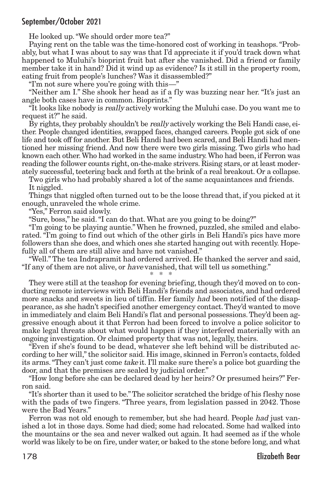He looked up."We should order more tea?"

Paying rent on the table was the time-honored cost of working in teashops."Probably, but what I was about to say was that I'd appreciate it if you'd track down what happened to Muluhi's bioprint fruit bat after she vanished. Did a friend or family member take it in hand? Did it wind up as evidence? Is it still in the property room, eating fruit from people's lunches? Was it disassembled?"

"I'm not sure where you're going with this—"

"Neither am I." She shook her head as if a fly was buzzing near her. "It's just an angle both cases have in common. Bioprints."

"It looks like nobody is really actively working the Muluhi case. Do you want me to request it?" he said.

By rights, they probably shouldn't be *really* actively working the Beli Handi case, either. People changed identities, swapped faces, changed careers. People got sick of one life and took off for another. But Beli Handi had been scared, and Beli Handi had mentioned her missing friend. And now there were two girls missing. Two girls who had known each other.Who had worked in the same industry.Who had been, if Ferron was reading the follower counts right, on-the-make strivers. Rising stars, or at least moderately successful, teetering back and forth at the brink of a real breakout. Or a collapse.

Two girls who had probably shared a lot of the same acquaintances and friends. It niggled.

Things that niggled often turned out to be the loose thread that, if you picked at it enough, unraveled the whole crime.

"Yes," Ferron said slowly.

"Sure, boss," he said."I can do that. What are you going to be doing?"

"I'm going to be playing auntie." When he frowned, puzzled, she smiled and elaborated. "I'm going to find out which of the other girls in Beli Handi's pics have more followers than she does, and which ones she started hanging out with recently. Hopefully all of them are still alive and have not vanished."

"Well."The tea Indrapramit had ordered arrived. He thanked the server and said, "If any of them are not alive, or have vanished, that will tell us something."

\* \* \* They were still at the teashop for evening briefing, though they'd moved on to conducting remote interviews with Beli Handi's friends and associates, and had ordered more snacks and sweets in lieu of tiffin. Her family had been notified of the disappearance, as she hadn't specified another emergency contact.They'd wanted to move in immediately and claim Beli Handi's flat and personal possessions.They'd been aggressive enough about it that Ferron had been forced to involve a police solicitor to make legal threats about what would happen if they interfered materially with an ongoing investigation. Or claimed property that was not, legally, theirs.

"Even if she's found to be dead, whatever she left behind will be distributed according to her will,"the solicitor said. His image, skinned in Ferron's contacts, folded its arms."They can't just come take it. I'll make sure there's a police bot guarding the door, and that the premises are sealed by judicial order."

"How long before she can be declared dead by her heirs? Or presumed heirs?" Ferron said.

"It's shorter than it used to be."The solicitor scratched the bridge of his fleshy nose with the pads of two fingers. "Three years, from legislation passed in 2042. Those were the Bad Years."

Ferron was not old enough to remember, but she had heard. People had just vanished a lot in those days. Some had died; some had relocated. Some had walked into the mountains or the sea and never walked out again. It had seemed as if the whole world was likely to be on fire, under water, or baked to the stone before long, and what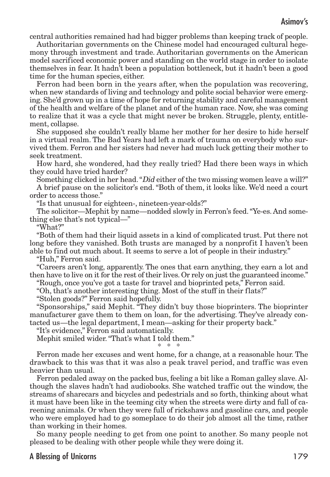### Asimov's

central authorities remained had had bigger problems than keeping track of people.

Authoritarian governments on the Chinese model had encouraged cultural hegemony through investment and trade. Authoritarian governments on the American model sacrificed economic power and standing on the world stage in order to isolate themselves in fear. It hadn't been a population bottleneck, but it hadn't been a good time for the human species, either.

Ferron had been born in the years after, when the population was recovering, when new standards of living and technology and polite social behavior were emerging. She'd grown up in a time of hope for returning stability and careful management of the health and welfare of the planet and of the human race. Now, she was coming to realize that it was a cycle that might never be broken. Struggle, plenty, entitlement, collapse.

She supposed she couldn't really blame her mother for her desire to hide herself in a virtual realm. The Bad Years had left a mark of trauma on everybody who survived them. Ferron and her sisters had never had much luck getting their mother to seek treatment.

How hard, she wondered, had they really tried? Had there been ways in which they could have tried harder?

Something clicked in her head."Did either of the two missing women leave a will?"

A brief pause on the solicitor's end. "Both of them, it looks like. We'd need a court order to access those."

"Is that unusual for eighteen-, nineteen-year-olds?"

The solicitor—Mephit by name—nodded slowly in Ferron's feed."Ye-es. And something else that's not typical—"

"What?"

"Both of them had their liquid assets in a kind of complicated trust. Put there not long before they vanished. Both trusts are managed by a nonprofit I haven't been able to find out much about. It seems to serve a lot of people in their industry."

"Huh," Ferron said.

"Careers aren't long, apparently. The ones that earn anything, they earn a lot and then have to live on it for the rest of their lives. Or rely on just the guaranteed income."

"Rough, once you've got a taste for travel and bioprinted pets," Ferron said.

"Oh, that's another interesting thing. Most of the stuff in their flats?"

"Stolen goods?" Ferron said hopefully.

"Sponsorships," said Mephit. "They didn't buy those bioprinters. The bioprinter manufacturer gave them to them on loan, for the advertising. They've already contacted us—the legal department, I mean—asking for their property back."

"It's evidence," Ferron said automatically.

Mephit smiled wider."That's what I told them."

$$
\ast\ \ast\ \ast
$$

Ferron made her excuses and went home, for a change, at a reasonable hour. The drawback to this was that it was also a peak travel period, and traffic was even heavier than usual.

Ferron pedaled away on the packed bus, feeling a bit like a Roman galley slave. Although the slaves hadn't had audiobooks. She watched traffic out the window, the streams of sharecars and bicycles and pedestrials and so forth, thinking about what it must have been like in the teeming city when the streets were dirty and full of careening animals. Or when they were full of rickshaws and gasoline cars, and people who were employed had to go someplace to do their job almost all the time, rather than working in their homes.

So many people needing to get from one point to another. So many people not pleased to be dealing with other people while they were doing it.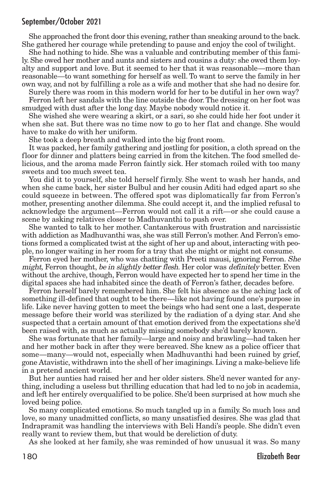She approached the front door this evening, rather than sneaking around to the back. She gathered her courage while pretending to pause and enjoy the cool of twilight.

She had nothing to hide. She was a valuable and contributing member of this family. She owed her mother and aunts and sisters and cousins a duty: she owed them loyalty and support and love. But it seemed to her that it was reasonable—more than reasonable—to want something for herself as well. To want to serve the family in her own way, and not by fulfilling a role as a wife and mother that she had no desire for.

Surely there was room in this modern world for her to be dutiful in her own way?

Ferron left her sandals with the line outside the door.The dressing on her foot was smudged with dust after the long day. Maybe nobody would notice it.

She wished she were wearing a skirt, or a sari, so she could hide her foot under it when she sat. But there was no time now to go to her flat and change. She would have to make do with her uniform.

She took a deep breath and walked into the big front room.

It was packed, her family gathering and jostling for position, a cloth spread on the floor for dinner and platters being carried in from the kitchen. The food smelled delicious, and the aroma made Ferron faintly sick. Her stomach roiled with too many sweets and too much sweet tea.

You did it to yourself, she told herself firmly. She went to wash her hands, and when she came back, her sister Bulbul and her cousin Aditi had edged apart so she could squeeze in between. The offered spot was diplomatically far from Ferron's mother, presenting another dilemma. She could accept it, and the implied refusal to acknowledge the argument—Ferron would not call it a rift—or she could cause a scene by asking relatives closer to Madhuvanthi to push over.

She wanted to talk to her mother. Cantankerous with frustration and narcissistic with addiction as Madhuvanthi was, she was still Ferron's mother. And Ferron's emotions formed a complicated twist at the sight of her up and about, interacting with people, no longer waiting in her room for a tray that she might or might not consume.

Ferron eyed her mother, who was chatting with Preeti mausi, ignoring Ferron. She might, Ferron thought, be in slightly better flesh. Her color was definitely better. Even without the archive, though, Ferron would have expected her to spend her time in the digital spaces she had inhabited since the death of Ferron's father, decades before.

Ferron herself barely remembered him. She felt his absence as the aching lack of something ill-defined that ought to be there—like not having found one's purpose in life. Like never having gotten to meet the beings who had sent one a last, desperate message before their world was sterilized by the radiation of a dying star. And she suspected that a certain amount of that emotion derived from the expectations she'd been raised with, as much as actually missing somebody she'd barely known.

She was fortunate that her family—large and noisy and brawling—had taken her and her mother back in after they were bereaved. She knew as a police officer that some—many—would not, especially when Madhuvanthi had been ruined by grief, gone Atavistic, withdrawn into the shell of her imaginings. Living a make-believe life in a pretend ancient world.

But her aunties had raised her and her older sisters. She'd never wanted for anything, including a useless but thrilling education that had led to no job in academia, and left her entirely overqualified to be police. She'd been surprised at how much she loved being police.

So many complicated emotions. So much tangled up in a family. So much loss and love, so many unadmitted conflicts, so many unsatisfied desires. She was glad that Indrapramit was handling the interviews with Beli Handi's people. She didn't even really want to review them, but that would be dereliction of duty.

As she looked at her family, she was reminded of how unusual it was. So many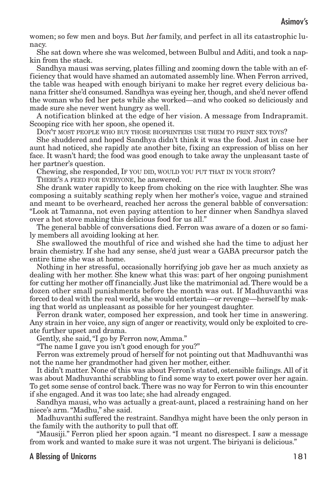women; so few men and boys. But *her* family, and perfect in all its catastrophic lunacy.

She sat down where she was welcomed, between Bulbul and Aditi, and took a napkin from the stack.

Sandhya mausi was serving, plates filling and zooming down the table with an efficiency that would have shamed an automated assembly line.When Ferron arrived, the table was heaped with enough biriyani to make her regret every delicious banana fritter she'd consumed. Sandhya was eyeing her, though, and she'd never offend the woman who fed her pets while she worked—and who cooked so deliciously and made sure she never went hungry as well.

A notification blinked at the edge of her vision. A message from Indrapramit. Scooping rice with her spoon, she opened it.

DON'T MOST PEOPLE WHO BUY THOSE BIOPRINTERS USE THEM TO PRINT SEX TOYS?

She shuddered and hoped Sandhya didn't think it was the food. Just in case her aunt had noticed, she rapidly ate another bite, fixing an expression of bliss on her face. It wasn't hard; the food was good enough to take away the unpleasant taste of her partner's question.

Chewing, she responded, IF YOU DID, WOULD YOU PUT THAT IN YOUR STORY?

THERE'S A FEED FOR EVERYONE, he answered.

She drank water rapidly to keep from choking on the rice with laughter. She was composing a suitably scathing reply when her mother's voice, vague and strained and meant to be overheard, reached her across the general babble of conversation: "Look at Tamanna, not even paying attention to her dinner when Sandhya slaved over a hot stove making this delicious food for us all."

The general babble of conversations died. Ferron was aware of a dozen or so family members all avoiding looking at her.

She swallowed the mouthful of rice and wished she had the time to adjust her brain chemistry. If she had any sense, she'd just wear a GABA precursor patch the entire time she was at home.

Nothing in her stressful, occasionally horrifying job gave her as much anxiety as dealing with her mother. She knew what this was: part of her ongoing punishment for cutting her mother off financially. Just like the matrimonial ad.There would be a dozen other small punishments before the month was out. If Madhuvanthi was forced to deal with the real world, she would entertain—or revenge—herself by making that world as unpleasant as possible for her youngest daughter.

Ferron drank water, composed her expression, and took her time in answering. Any strain in her voice, any sign of anger or reactivity, would only be exploited to create further upset and drama.

Gently, she said,"I go by Ferron now, Amma."

"The name I gave you isn't good enough for you?"

Ferron was extremely proud of herself for not pointing out that Madhuvanthi was not the name her grandmother had given her mother, either.

It didn't matter. None of this was about Ferron's stated, ostensible failings. All of it was about Madhuvanthi scrabbling to find some way to exert power over her again. To get some sense of control back.There was no way for Ferron to win this encounter if she engaged. And it was too late; she had already engaged.

Sandhya mausi, who was actually a great-aunt, placed a restraining hand on her niece's arm."Madhu," she said.

Madhuvanthi suffered the restraint. Sandhya might have been the only person in the family with the authority to pull that off.

"Mausiji." Ferron plied her spoon again. "I meant no disrespect. I saw a message from work and wanted to make sure it was not urgent. The biriyani is delicious."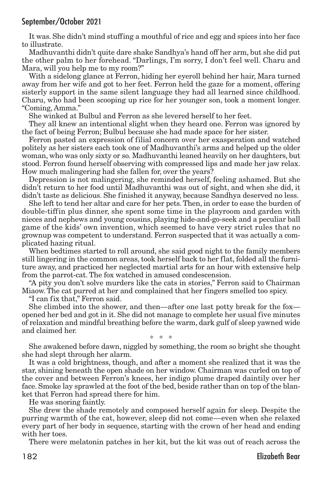It was. She didn't mind stuffing a mouthful of rice and egg and spices into her face to illustrate.

Madhuvanthi didn't quite dare shake Sandhya's hand off her arm, but she did put the other palm to her forehead. "Darlings, I'm sorry, I don't feel well. Charu and Mara, will you help me to my room?"

With a sidelong glance at Ferron, hiding her eyeroll behind her hair, Mara turned away from her wife and got to her feet. Ferron held the gaze for a moment, offering sisterly support in the same silent language they had all learned since childhood. Charu, who had been scooping up rice for her younger son, took a moment longer. "Coming, Amma."

She winked at Bulbul and Ferron as she levered herself to her feet.

They all knew an intentional slight when they heard one. Ferron was ignored by the fact of being Ferron; Bulbul because she had made space for her sister.

Ferron pasted an expression of filial concern over her exasperation and watched politely as her sisters each took one of Madhuvanthi's arms and helped up the older woman, who was only sixty or so. Madhuvanthi leaned heavily on her daughters, but stood. Ferron found herself observing with compressed lips and made her jaw relax. How much malingering had she fallen for, over the years?

Depression is not malingering, she reminded herself, feeling ashamed. But she didn't return to her food until Madhuvanthi was out of sight, and when she did, it didn't taste as delicious. She finished it anyway, because Sandhya deserved no less.

She left to tend her altar and care for her pets.Then, in order to ease the burden of double-tiffin plus dinner, she spent some time in the playroom and garden with nieces and nephews and young cousins, playing hide-and-go-seek and a peculiar ball game of the kids' own invention, which seemed to have very strict rules that no grownup was competent to understand. Ferron suspected that it was actually a complicated hazing ritual.

When bedtimes started to roll around, she said good night to the family members still lingering in the common areas, took herself back to her flat, folded all the furniture away, and practiced her neglected martial arts for an hour with extensive help from the parrot-cat. The fox watched in amused condescension.

"A pity you don't solve murders like the cats in stories," Ferron said to Chairman Miaow. The cat purred at her and complained that her fingers smelled too spicy.

"I can fix that," Ferron said.

She climbed into the shower, and then—after one last potty break for the fox opened her bed and got in it. She did not manage to complete her usual five minutes of relaxation and mindful breathing before the warm, dark gulf of sleep yawned wide and claimed her.

\* \* \*

She awakened before dawn, niggled by something, the room so bright she thought she had slept through her alarm.

It was a cold brightness, though, and after a moment she realized that it was the star, shining beneath the open shade on her window. Chairman was curled on top of the cover and between Ferron's knees, her indigo plume draped daintily over her face. Smoke lay sprawled at the foot of the bed, beside rather than on top of the blanket that Ferron had spread there for him.

He was snoring faintly.

She drew the shade remotely and composed herself again for sleep. Despite the purring warmth of the cat, however, sleep did not come—even when she relaxed every part of her body in sequence, starting with the crown of her head and ending with her toes.

There were melatonin patches in her kit, but the kit was out of reach across the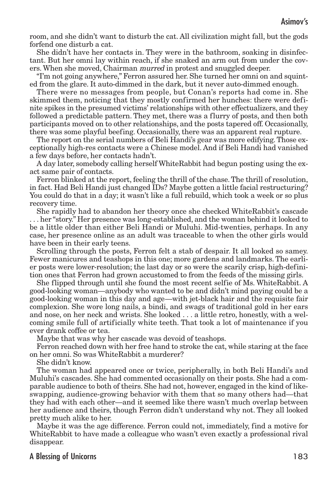room, and she didn't want to disturb the cat. All civilization might fall, but the gods forfend one disturb a cat.

She didn't have her contacts in. They were in the bathroom, soaking in disinfectant. But her omni lay within reach, if she snaked an arm out from under the covers. When she moved, Chairman murred in protest and snuggled deeper.

"I'm not going anywhere," Ferron assured her. She turned her omni on and squinted from the glare. It auto-dimmed in the dark, but it never auto-dimmed enough.

There were no messages from people, but Conan's reports had come in. She skimmed them, noticing that they mostly confirmed her hunches: there were definite spikes in the presumed victims' relationships with other effectualizers, and they followed a predictable pattern. They met, there was a flurry of posts, and then both participants moved on to other relationships, and the posts tapered off. Occasionally, there was some playful beefing. Occasionally, there was an apparent real rupture.

The report on the serial numbers of Beli Handi's gear was more edifying.Those exceptionally high-res contacts were a Chinese model. And if Beli Handi had vanished a few days before, her contacts hadn't.

A day later, somebody calling herself WhiteRabbit had begun posting using the exact same pair of contacts.

Ferron blinked at the report, feeling the thrill of the chase.The thrill of resolution, in fact. Had Beli Handi just changed IDs? Maybe gotten a little facial restructuring? You could do that in a day; it wasn't like a full rebuild, which took a week or so plus recovery time.

She rapidly had to abandon her theory once she checked WhiteRabbit's cascade . . . her "story." Her presence was long-established, and the woman behind it looked to be a little older than either Beli Handi or Muluhi. Mid-twenties, perhaps. In any case, her presence online as an adult was traceable to when the other girls would have been in their early teens.

Scrolling through the posts, Ferron felt a stab of despair. It all looked so samey. Fewer manicures and teashops in this one; more gardens and landmarks. The earlier posts were lower-resolution; the last day or so were the scarily crisp, high-definition ones that Ferron had grown accustomed to from the feeds of the missing girls.

She flipped through until she found the most recent selfie of Ms. WhiteRabbit. A good-looking woman—anybody who wanted to be and didn't mind paying could be a good-looking woman in this day and age—with jet-black hair and the requisite fair complexion. She wore long nails, a bindi, and swags of traditional gold in her ears and nose, on her neck and wrists. She looked . . . a little retro, honestly, with a welcoming smile full of artificially white teeth. That took a lot of maintenance if you ever drank coffee or tea.

Maybe that was why her cascade was devoid of teashops.

Ferron reached down with her free hand to stroke the cat, while staring at the face on her omni. So was WhiteRabbit a murderer?

She didn't know.

The woman had appeared once or twice, peripherally, in both Beli Handi's and Muluhi's cascades. She had commented occasionally on their posts. She had a comparable audience to both of theirs. She had not, however, engaged in the kind of likeswapping, audience-growing behavior with them that so many others had—that they had with each other—and it seemed like there wasn't much overlap between her audience and theirs, though Ferron didn't understand why not. They all looked pretty much alike to her.

Maybe it was the age difference. Ferron could not, immediately, find a motive for WhiteRabbit to have made a colleague who wasn't even exactly a professional rival disappear.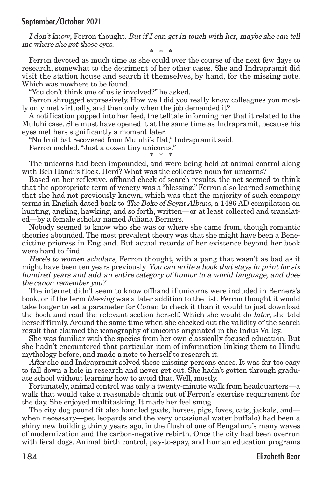I don't know, Ferron thought. But if I can get in touch with her, maybe she can tell me where she got those eyes.

\* \* \*

Ferron devoted as much time as she could over the course of the next few days to research, somewhat to the detriment of her other cases. She and Indrapramit did visit the station house and search it themselves, by hand, for the missing note. Which was nowhere to be found.

"You don't think one of us is involved?" he asked.

Ferron shrugged expressively. How well did you really know colleagues you mostly only met virtually, and then only when the job demanded it?

A notification popped into her feed, the telltale informing her that it related to the Muluhi case. She must have opened it at the same time as Indrapramit, because his eyes met hers significantly a moment later.

"No fruit bat recovered from Muluhi's flat," Indrapramit said.

Ferron nodded."Just a dozen tiny unicorns."

\* \* \* The unicorns had been impounded, and were being held at animal control along with Beli Handi's flock. Herd? What was the collective noun for unicorns?

Based on her reflexive, offhand check of search results, the net seemed to think that the appropriate term of venery was a "blessing." Ferron also learned something that she had not previously known, which was that the majority of such company terms in English dated back to The Boke of Seynt Albans, a 1486 AD compilation on hunting, angling, hawking, and so forth, written—or at least collected and translated—by a female scholar named Juliana Berners.

Nobody seemed to know who she was or where she came from, though romantic theories abounded.The most prevalent theory was that she might have been a Benedictine prioress in England. But actual records of her existence beyond her book were hard to find.

Here's to women scholars, Ferron thought, with a pang that wasn't as bad as it might have been ten years previously. You can write a book that stays in print for six hundred years and add an entire category of humor to <sup>a</sup> world language, and does the canon remember you?

The internet didn't seem to know offhand if unicorns were included in Berners's book, or if the term *blessing* was a later addition to the list. Ferron thought it would take longer to set a parameter for Conan to check it than it would to just download the book and read the relevant section herself. Which she would do later, she told herself firmly. Around the same time when she checked out the validity of the search result that claimed the iconography of unicorns originated in the Indus Valley.

She was familiar with the species from her own classically focused education. But she hadn't encountered that particular item of information linking them to Hindu mythology before, and made a note to herself to research it.

After she and Indrapramit solved these missing-persons cases. It was far too easy to fall down a hole in research and never get out. She hadn't gotten through graduate school without learning how to avoid that. Well, mostly.

Fortunately, animal control was only a twenty-minute walk from headquarters—a walk that would take a reasonable chunk out of Ferron's exercise requirement for the day. She enjoyed multitasking. It made her feel smug.

The city dog pound (it also handled goats, horses, pigs, foxes, cats, jackals, and when necessary—pet leopards and the very occasional water buffalo) had been a shiny new building thirty years ago, in the flush of one of Bengaluru's many waves of modernization and the carbon-negative rebirth. Once the city had been overrun with feral dogs. Animal birth control, pay-to-spay, and human education programs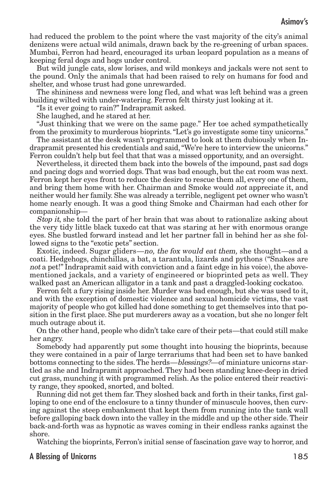had reduced the problem to the point where the vast majority of the city's animal denizens were actual wild animals, drawn back by the re-greening of urban spaces. Mumbai, Ferron had heard, encouraged its urban leopard population as a means of keeping feral dogs and hogs under control.

But wild jungle cats, slow lorises, and wild monkeys and jackals were not sent to the pound. Only the animals that had been raised to rely on humans for food and shelter, and whose trust had gone unrewarded.

The shininess and newness were long fled, and what was left behind was a green building wilted with under-watering. Ferron felt thirsty just looking at it.

"Is it ever going to rain?" Indrapramit asked.

She laughed, and he stared at her.

"Just thinking that we were on the same page." Her toe ached sympathetically from the proximity to murderous bioprints."Let's go investigate some tiny unicorns."

The assistant at the desk wasn't programmed to look at them dubiously when Indrapramit presented his credentials and said,"We're here to interview the unicorns." Ferron couldn't help but feel that that was a missed opportunity, and an oversight.

Nevertheless, it directed them back into the bowels of the impound, past sad dogs and pacing dogs and worried dogs.That was bad enough, but the cat room was next. Ferron kept her eyes front to reduce the desire to rescue them all, every one of them, and bring them home with her. Chairman and Smoke would not appreciate it, and neither would her family. She was already a terrible, negligent pet owner who wasn't home nearly enough. It was a good thing Smoke and Chairman had each other for companionship—

Stop *it*, she told the part of her brain that was about to rationalize asking about the very tidy little black tuxedo cat that was staring at her with enormous orange eyes. She bustled forward instead and let her partner fall in behind her as she followed signs to the "exotic pets" section.

Exotic, indeed. Sugar gliders—no, the fox would eat them, she thought—and a coati. Hedgehogs, chinchillas, a bat, a tarantula, lizards and pythons ("Snakes are not a pet!" Indrapramit said with conviction and a faint edge in his voice), the abovementioned jackals, and a variety of engineered or bioprinted pets as well. They walked past an American alligator in a tank and past a draggled-looking cockatoo.

Ferron felt a fury rising inside her. Murder was bad enough, but she was used to it, and with the exception of domestic violence and sexual homicide victims, the vast majority of people who got killed had done something to get themselves into that position in the first place. She put murderers away as a vocation, but she no longer felt much outrage about it.

On the other hand, people who didn't take care of their pets—that could still make her angry.

Somebody had apparently put some thought into housing the bioprints, because they were contained in a pair of large terrariums that had been set to have banked bottoms connecting to the sides.The herds—blessings?—of miniature unicorns startled as she and Indrapramit approached.They had been standing knee-deep in dried cut grass, munching it with programmed relish. As the police entered their reactivity range, they spooked, snorted, and bolted.

Running did not get them far.They sloshed back and forth in their tanks, first galloping to one end of the enclosure to a tinny thunder of minuscule hooves, then curving against the steep embankment that kept them from running into the tank wall before galloping back down into the valley in the middle and up the other side.Their back-and-forth was as hypnotic as waves coming in their endless ranks against the shore.

Watching the bioprints, Ferron's initial sense of fascination gave way to horror, and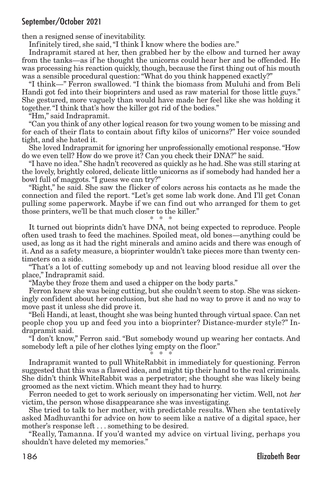then a resigned sense of inevitability.

Infinitely tired, she said,"I think I know where the bodies are."

Indrapramit stared at her, then grabbed her by the elbow and turned her away from the tanks—as if he thought the unicorns could hear her and be offended. He was processing his reaction quickly, though, because the first thing out of his mouth was a sensible procedural question:"What do you think happened exactly?"

"I think—" Ferron swallowed. "I think the biomass from Muluhi and from Beli Handi got fed into their bioprinters and used as raw material for those little guys." She gestured, more vaguely than would have made her feel like she was holding it together."I think that's how the killer got rid of the bodies."

"Hm," said Indrapramit.

"Can you think of any other logical reason for two young women to be missing and for each of their flats to contain about fifty kilos of unicorns?" Her voice sounded tight, and she hated it.

She loved Indrapramit for ignoring her unprofessionally emotional response."How do we even tell? How do we prove it? Can you check their DNA?" he said.

"I have no idea." She hadn't recovered as quickly as he had. She was still staring at the lovely, brightly colored, delicate little unicorns as if somebody had handed her a bowl full of maggots."I guess we can try?"

"Right," he said. She saw the flicker of colors across his contacts as he made the connection and filed the report. "Let's get some lab work done. And I'll get Conan pulling some paperwork. Maybe if we can find out who arranged for them to get those printers, we'll be that much closer to the killer."

\* \* \*

It turned out bioprints didn't have DNA, not being expected to reproduce. People often used trash to feed the machines. Spoiled meat, old bones—anything could be used, as long as it had the right minerals and amino acids and there was enough of it. And as a safety measure, a bioprinter wouldn't take pieces more than twenty centimeters on a side.

"That's a lot of cutting somebody up and not leaving blood residue all over the place," Indrapramit said.

"Maybe they froze them and used a chipper on the body parts."

Ferron knew she was being cutting, but she couldn't seem to stop. She was sickeningly confident about her conclusion, but she had no way to prove it and no way to move past it unless she did prove it.

"Beli Handi, at least, thought she was being hunted through virtual space. Can net people chop you up and feed you into a bioprinter? Distance-murder style?" Indrapramit said.

"I don't know," Ferron said. "But somebody wound up wearing her contacts. And somebody left a pile of her clothes lying empty on the floor."

\* \* \* Indrapramit wanted to pull WhiteRabbit in immediately for questioning. Ferron suggested that this was a flawed idea, and might tip their hand to the real criminals. She didn't think WhiteRabbit was a perpetrator; she thought she was likely being groomed as the next victim. Which meant they had to hurry.

Ferron needed to get to work seriously on impersonating her victim. Well, not her victim, the person whose disappearance she was investigating.

She tried to talk to her mother, with predictable results. When she tentatively asked Madhuvanthi for advice on how to seem like a native of a digital space, her mother's response left . . . something to be desired.

"Really, Tamanna. If you'd wanted my advice on virtual living, perhaps you shouldn't have deleted my memories."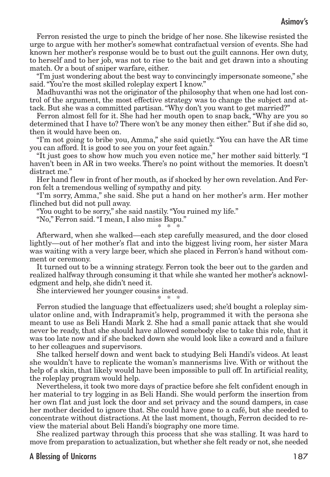### Asimov's

Ferron resisted the urge to pinch the bridge of her nose. She likewise resisted the urge to argue with her mother's somewhat contrafactual version of events. She had known her mother's response would be to bust out the guilt cannons. Her own duty, to herself and to her job, was not to rise to the bait and get drawn into a shouting match. Or a bout of sniper warfare, either.

"I'm just wondering about the best way to convincingly impersonate someone," she said."You're the most skilled roleplay expert I know."

Madhuvanthi was not the originator of the philosophy that when one had lost control of the argument, the most effective strategy was to change the subject and attack. But she was a committed partisan."Why don't you want to get married?"

Ferron almost fell for it. She had her mouth open to snap back, "Why are you so determined that I have to? There won't be any money then either." But if she did so, then it would have been on.

"I'm not going to bribe you, Amma," she said quietly. "You can have the AR time you can afford. It is good to see you on your feet again."

"It just goes to show how much you even notice me," her mother said bitterly. "I haven't been in AR in two weeks. There's no point without the memories. It doesn't distract me."

Her hand flew in front of her mouth, as if shocked by her own revelation. And Ferron felt a tremendous welling of sympathy and pity.

"I'm sorry, Amma," she said. She put a hand on her mother's arm. Her mother flinched but did not pull away.

"You ought to be sorry," she said nastily."You ruined my life."

"No," Ferron said."I mean, I also miss Bapu."

\* \* \*

Afterward, when she walked—each step carefully measured, and the door closed lightly—out of her mother's flat and into the biggest living room, her sister Mara was waiting with a very large beer, which she placed in Ferron's hand without comment or ceremony.

It turned out to be a winning strategy. Ferron took the beer out to the garden and realized halfway through consuming it that while she wanted her mother's acknowledgment and help, she didn't need it.

She interviewed her younger cousins instead.

\* \* \* Ferron studied the language that effectualizers used; she'd bought a roleplay simulator online and, with Indrapramit's help, programmed it with the persona she meant to use as Beli Handi Mark 2. She had a small panic attack that she would never be ready, that she should have allowed somebody else to take this role, that it was too late now and if she backed down she would look like a coward and a failure to her colleagues and supervisors.

She talked herself down and went back to studying Beli Handi's videos. At least she wouldn't have to replicate the woman's mannerisms live. With or without the help of a skin, that likely would have been impossible to pull off. In artificial reality, the roleplay program would help.

Nevertheless, it took two more days of practice before she felt confident enough in her material to try logging in as Beli Handi. She would perform the insertion from her own flat and just lock the door and set privacy and the sound dampers, in case her mother decided to ignore that. She could have gone to a café, but she needed to concentrate without distractions. At the last moment, though, Ferron decided to review the material about Beli Handi's biography one more time.

She realized partway through this process that she was stalling. It was hard to move from preparation to actualization, but whether she felt ready or not, she needed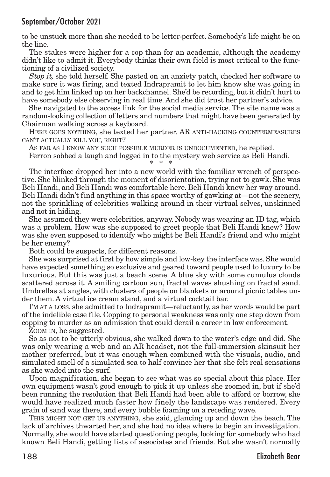to be unstuck more than she needed to be letter-perfect. Somebody's life might be on the line.

The stakes were higher for a cop than for an academic, although the academy didn't like to admit it. Everybody thinks their own field is most critical to the functioning of a civilized society.

Stop it, she told herself. She pasted on an anxiety patch, checked her software to make sure it was firing, and texted Indrapramit to let him know she was going in and to get him linked up on her backchannel. She'd be recording, but it didn't hurt to have somebody else observing in real time. And she did trust her partner's advice.

She navigated to the access link for the social media service. The site name was a random-looking collection of letters and numbers that might have been generated by Chairman walking across a keyboard.

HERE GOES NOTHING, she texted her partner. AR ANTI-HACKING COUNTERMEASURES CAN'T ACTUALLY KILL YOU, RIGHT?

AS FAR AS I KNOW ANY SUCH POSSIBLE MURDER IS UNDOCUMENTED, he replied. Ferron sobbed a laugh and logged in to the mystery web service as Beli Handi. \* \* \*

The interface dropped her into a new world with the familiar wrench of perspective. She blinked through the moment of disorientation, trying not to gawk. She was Beli Handi, and Beli Handi was comfortable here. Beli Handi knew her way around. Beli Handi didn't find anything in this space worthy of gawking at—not the scenery, not the sprinkling of celebrities walking around in their virtual selves, unskinned and not in hiding.

She assumed they were celebrities, anyway. Nobody was wearing an ID tag, which was a problem. How was she supposed to greet people that Beli Handi knew? How was she even supposed to identify who might be Beli Handi's friend and who might be her enemy?

Both could be suspects, for different reasons.

She was surprised at first by how simple and low-key the interface was. She would have expected something so exclusive and geared toward people used to luxury to be luxurious. But this was just a beach scene. A blue sky with some cumulus clouds scattered across it. A smiling cartoon sun, fractal waves shushing on fractal sand. Umbrellas at angles, with clusters of people on blankets or around picnic tables under them. A virtual ice cream stand, and a virtual cocktail bar.

I'M AT A LOSS, she admitted to Indrapramit—reluctantly, as her words would be part of the indelible case file. Copping to personal weakness was only one step down from copping to murder as an admission that could derail a career in law enforcement.

ZOOM IN, he suggested.

So as not to be utterly obvious, she walked down to the water's edge and did. She was only wearing a web and an AR headset, not the full-immersion skinsuit her mother preferred, but it was enough when combined with the visuals, audio, and simulated smell of a simulated sea to half convince her that she felt real sensations as she waded into the surf.

Upon magnification, she began to see what was so special about this place. Her own equipment wasn't good enough to pick it up unless she zoomed in, but if she'd been running the resolution that Beli Handi had been able to afford or borrow, she would have realized much faster how finely the landscape was rendered. Every grain of sand was there, and every bubble foaming on a receding wave.

THIS MIGHT NOT GET US ANYTHING, she said, glancing up and down the beach. The lack of archives thwarted her, and she had no idea where to begin an investigation. Normally, she would have started questioning people, looking for somebody who had known Beli Handi, getting lists of associates and friends. But she wasn't normally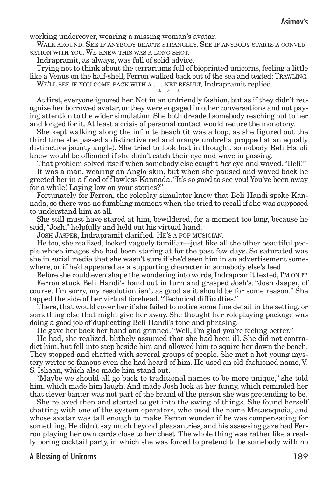### Asimov's

working undercover, wearing a missing woman's avatar.

WALK AROUND. SEE IF ANYBODY REACTS STRANGELY. SEE IF ANYBODY STARTS A CONVER-SATION WITH YOU. WE KNEW THIS WAS A LONG SHOT.

Indrapramit, as always, was full of solid advice.

Trying not to think about the terrariums full of bioprinted unicorns, feeling a little like a Venus on the half-shell, Ferron walked back out of the sea and texted: TRAWLING.

WE'LL SEE IF YOU COME BACK WITH A . . . NET RESULT, Indrapramit replied. \* \* \*

At first, everyone ignored her. Not in an unfriendly fashion, but as if they didn't recognize her borrowed avatar, or they were engaged in other conversations and not paying attention to the wider simulation. She both dreaded somebody reaching out to her and longed for it. At least a crisis of personal contact would reduce the monotony.

She kept walking along the infinite beach (it was a loop, as she figured out the third time she passed a distinctive red and orange umbrella propped at an equally distinctive jaunty angle). She tried to look lost in thought, so nobody Beli Handi knew would be offended if she didn't catch their eye and wave in passing.

That problem solved itself when somebody else caught her eye and waved."Beli!"

It was a man, wearing an Anglo skin, but when she paused and waved back he greeted her in a flood of flawless Kannada."It's so good to see you! You've been away for a while! Laying low on your stories?"

Fortunately for Ferron, the roleplay simulator knew that Beli Handi spoke Kannada, so there was no fumbling moment when she tried to recall if she was supposed to understand him at all.

She still must have stared at him, bewildered, for a moment too long, because he said,"Josh," helpfully and held out his virtual hand.

JOSH JASPER, Indrapramit clarified. HE'S A POP MUSICIAN.

He too, she realized, looked vaguely familiar—just like all the other beautiful people whose images she had been staring at for the past few days. So saturated was she in social media that she wasn't sure if she'd seen him in an advertisement somewhere, or if he'd appeared as a supporting character in somebody else's feed.

Before she could even shape the wondering into words, Indrapramit texted, I'M ON IT. Ferron stuck Beli Handi's hand out in turn and grasped Josh's. "Josh Jasper, of course. I'm sorry, my resolution isn't as good as it should be for some reason." She tapped the side of her virtual forehead."Technical difficulties."

There, that would cover her if she failed to notice some fine detail in the setting, or something else that might give her away. She thought her roleplaying package was doing a good job of duplicating Beli Handi's tone and phrasing.

He gave her back her hand and grinned."Well, I'm glad you're feeling better."

He had, she realized, blithely assumed that she had been ill. She did not contradict him, but fell into step beside him and allowed him to squire her down the beach. They stopped and chatted with several groups of people. She met a hot young mystery writer so famous even she had heard of him. He used an old-fashioned name, V. S. Ishaan, which also made him stand out.

"Maybe we should all go back to traditional names to be more unique," she told him, which made him laugh. And made Josh look at her funny, which reminded her that clever banter was not part of the brand of the person she was pretending to be.

She relaxed then and started to get into the swing of things. She found herself chatting with one of the system operators, who used the name Metasequoia, and whose avatar was tall enough to make Ferron wonder if he was compensating for something. He didn't say much beyond pleasantries, and his assessing gaze had Ferron playing her own cards close to her chest.The whole thing was rather like a really boring cocktail party, in which she was forced to pretend to be somebody with no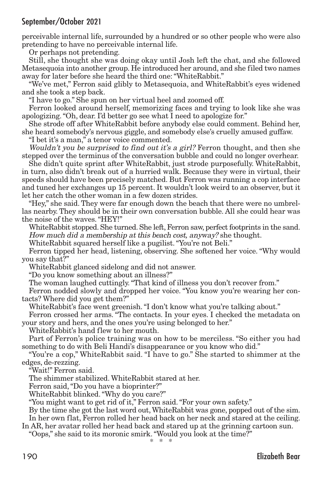perceivable internal life, surrounded by a hundred or so other people who were also pretending to have no perceivable internal life.

Or perhaps not pretending.

Still, she thought she was doing okay until Josh left the chat, and she followed Metasequoia into another group. He introduced her around, and she filed two names away for later before she heard the third one:"WhiteRabbit."

"We've met," Ferron said glibly to Metasequoia, and WhiteRabbit's eyes widened and she took a step back.

"I have to go." She spun on her virtual heel and zoomed off.

Ferron looked around herself, memorizing faces and trying to look like she was apologizing."Oh, dear. I'd better go see what I need to apologize for."

She strode off after WhiteRabbit before anybody else could comment. Behind her, she heard somebody's nervous giggle, and somebody else's cruelly amused guffaw.

"I bet it's a man," a tenor voice commented.

Wouldn't you be surprised to find out it's a girl? Ferron thought, and then she stepped over the terminus of the conversation bubble and could no longer overhear.

She didn't quite sprint after WhiteRabbit, just strode purposefully. WhiteRabbit, in turn, also didn't break out of a hurried walk. Because they were in virtual, their speeds should have been precisely matched. But Ferron was running a cop interface and tuned her exchanges up 15 percent. It wouldn't look weird to an observer, but it let her catch the other woman in a few dozen strides.

"Hey," she said. They were far enough down the beach that there were no umbrellas nearby. They should be in their own conversation bubble. All she could hear was the noise of the waves."HEY!"

WhiteRabbit stopped. She turned. She left, Ferron saw, perfect footprints in the sand. How much did <sup>a</sup> membership at this beach cost, anyway? she thought.

WhiteRabbit squared herself like a pugilist."You're not Beli."

Ferron tipped her head, listening, observing. She softened her voice. "Why would you say that?"

WhiteRabbit glanced sidelong and did not answer.

"Do you know something about an illness?"

The woman laughed cuttingly."That kind of illness you don't recover from."

Ferron nodded slowly and dropped her voice. "You know you're wearing her contacts? Where did you get them?"

WhiteRabbit's face went greenish."I don't know what you're talking about."

Ferron crossed her arms. "The contacts. In your eyes. I checked the metadata on your story and hers, and the ones you're using belonged to her."

WhiteRabbit's hand flew to her mouth.

Part of Ferron's police training was on how to be merciless. "So either you had something to do with Beli Handi's disappearance or you know who did."

"You're a cop," WhiteRabbit said. "I have to go." She started to shimmer at the edges, de-rezzing.

"Wait!" Ferron said.

The shimmer stabilized. WhiteRabbit stared at her.

Ferron said,"Do you have a bioprinter?"

WhiteRabbit blinked."Why do you care?"

"You might want to get rid of it," Ferron said."For your own safety."

By the time she got the last word out,WhiteRabbit was gone, popped out of the sim. In her own flat, Ferron rolled her head back on her neck and stared at the ceiling.

In AR, her avatar rolled her head back and stared up at the grinning cartoon sun.

"Oops," she said to its moronic smirk."Would you look at the time?"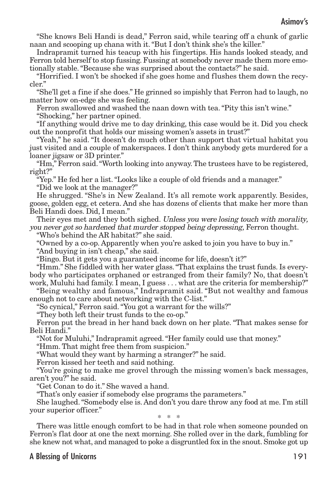"She knows Beli Handi is dead," Ferron said, while tearing off a chunk of garlic naan and scooping up chana with it."But I don't think she's the killer."

Indrapramit turned his teacup with his fingertips. His hands looked steady, and Ferron told herself to stop fussing. Fussing at somebody never made them more emotionally stable."Because she was surprised about the contacts?" he said.

"Horrified. I won't be shocked if she goes home and flushes them down the recycler."

"She'll get a fine if she does." He grinned so impishly that Ferron had to laugh, no matter how on-edge she was feeling.

Ferron swallowed and washed the naan down with tea."Pity this isn't wine." "Shocking," her partner opined.

"If anything would drive me to day drinking, this case would be it. Did you check out the nonprofit that holds our missing women's assets in trust?"

"Yeah," he said. "It doesn't do much other than support that virtual habitat you just visited and a couple of makerspaces. I don't think anybody gets murdered for a loaner jigsaw or 3D printer."

"Hm," Ferron said."Worth looking into anyway.The trustees have to be registered, right?"

"Yep." He fed her a list."Looks like a couple of old friends and a manager." "Did we look at the manager?"

He shrugged. "She's in New Zealand. It's all remote work apparently. Besides, goose, golden egg, et cetera. And she has dozens of clients that make her more than Beli Handi does. Did, I mean."

Their eyes met and they both sighed. Unless you were losing touch with morality, you never got so hardened that murder stopped being depressing, Ferron thought.

"Who's behind the AR habitat?" she said.

"Owned by a co-op. Apparently when you're asked to join you have to buy in."

"And buying in isn't cheap," she said.

"Bingo. But it gets you a guaranteed income for life, doesn't it?"

"Hmm." She fiddled with her water glass."That explains the trust funds. Is everybody who participates orphaned or estranged from their family? No, that doesn't work, Muluhi had family. I mean, I guess . . . what are the criteria for membership?"

"Being wealthy and famous," Indrapramit said. "But not wealthy and famous enough not to care about networking with the C-list."

"So cynical," Ferron said."You got a warrant for the wills?"

"They both left their trust funds to the co-op."

Ferron put the bread in her hand back down on her plate. "That makes sense for Beli Handi."

"Not for Muluhi," Indrapramit agreed."Her family could use that money."

"Hmm. That might free them from suspicion."

"What would they want by harming a stranger?" he said.

Ferron kissed her teeth and said nothing.

"You're going to make me grovel through the missing women's back messages, aren't you?" he said.

"Get Conan to do it." She waved a hand.

"That's only easier if somebody else programs the parameters."

She laughed."Somebody else is. And don't you dare throw any food at me. I'm still your superior officer."

\* \* \*

There was little enough comfort to be had in that role when someone pounded on Ferron's flat door at one the next morning. She rolled over in the dark, fumbling for she knew not what, and managed to poke a disgruntled fox in the snout. Smoke got up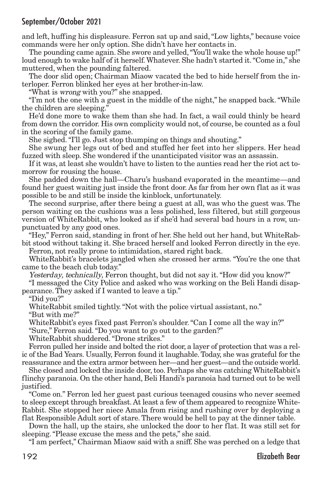and left, huffing his displeasure. Ferron sat up and said,"Low lights," because voice commands were her only option. She didn't have her contacts in.

The pounding came again. She swore and yelled,"You'll wake the whole house up!" loud enough to wake half of it herself.Whatever. She hadn't started it."Come in," she muttered, when the pounding faltered.

The door slid open; Chairman Miaow vacated the bed to hide herself from the interloper. Ferron blinked her eyes at her brother-in-law.

"What is wrong with you?" she snapped.

"I'm not the one with a guest in the middle of the night," he snapped back."While the children are sleeping."

He'd done more to wake them than she had. In fact, a wail could thinly be heard from down the corridor. His own complicity would not, of course, be counted as a foul in the scoring of the family game.

She sighed."I'll go. Just stop thumping on things and shouting."

She swung her legs out of bed and stuffed her feet into her slippers. Her head fuzzed with sleep. She wondered if the unanticipated visitor was an assassin.

If it was, at least she wouldn't have to listen to the aunties read her the riot act tomorrow for rousing the house.

She padded down the hall—Charu's husband evaporated in the meantime—and found her guest waiting just inside the front door. As far from her own flat as it was possible to be and still be inside the kinblock, unfortunately.

The second surprise, after there being a guest at all, was who the guest was. The person waiting on the cushions was a less polished, less filtered, but still gorgeous version of WhiteRabbit, who looked as if she'd had several bad hours in a row, unpunctuated by any good ones.

"Hey," Ferron said, standing in front of her. She held out her hand, but WhiteRabbit stood without taking it. She braced herself and looked Ferron directly in the eye.

Ferron, not really prone to intimidation, stared right back.

WhiteRabbit's bracelets jangled when she crossed her arms. "You're the one that came to the beach club today."

Yesterday, technically, Ferron thought, but did not say it."How did you know?"

"I messaged the City Police and asked who was working on the Beli Handi disappearance. They asked if I wanted to leave a tip."

"Did you?"

WhiteRabbit smiled tightly."Not with the police virtual assistant, no."

"But with me?"

WhiteRabbit's eyes fixed past Ferron's shoulder."Can I come all the way in?"

"Sure," Ferron said."Do you want to go out to the garden?"

WhiteRabbit shuddered."Drone strikes."

Ferron pulled her inside and bolted the riot door, a layer of protection that was a relic of the Bad Years. Usually, Ferron found it laughable.Today, she was grateful for the reassurance and the extra armor between her—and her guest—and the outside world.

She closed and locked the inside door, too. Perhaps she was catching WhiteRabbit's flinchy paranoia. On the other hand, Beli Handi's paranoia had turned out to be well justified.

"Come on." Ferron led her guest past curious teenaged cousins who never seemed to sleep except through breakfast.At least a few of them appeared to recognize White-Rabbit. She stopped her niece Amala from rising and rushing over by deploying a flat Responsible Adult sort of stare. There would be hell to pay at the dinner table.

Down the hall, up the stairs, she unlocked the door to her flat. It was still set for sleeping."Please excuse the mess and the pets," she said.

"I am perfect," Chairman Miaow said with a sniff. She was perched on a ledge that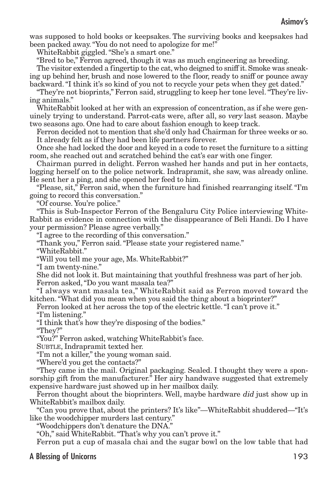was supposed to hold books or keepsakes. The surviving books and keepsakes had been packed away."You do not need to apologize for me!"

WhiteRabbit giggled."She's a smart one."

"Bred to be," Ferron agreed, though it was as much engineering as breeding.

The visitor extended a fingertip to the cat, who deigned to sniff it. Smoke was sneaking up behind her, brush and nose lowered to the floor, ready to sniff or pounce away backward."I think it's so kind of you not to recycle your pets when they get dated."

"They're not bioprints," Ferron said, struggling to keep her tone level."They're living animals."

WhiteRabbit looked at her with an expression of concentration, as if she were genuinely trying to understand. Parrot-cats were, after all, so very last season. Maybe two seasons ago. One had to care about fashion enough to keep track.

Ferron decided not to mention that she'd only had Chairman for three weeks or so. It already felt as if they had been life partners forever.

Once she had locked the door and keyed in a code to reset the furniture to a sitting room, she reached out and scratched behind the cat's ear with one finger.

Chairman purred in delight. Ferron washed her hands and put in her contacts, logging herself on to the police network. Indrapramit, she saw, was already online. He sent her a ping, and she opened her feed to him.

"Please, sit," Ferron said, when the furniture had finished rearranging itself."I'm going to record this conversation."

"Of course. You're police."

"This is Sub-Inspector Ferron of the Bengaluru City Police interviewing White-Rabbit as evidence in connection with the disappearance of Beli Handi. Do I have your permission? Please agree verbally."

"I agree to the recording of this conversation."

"Thank you," Ferron said."Please state your registered name."

"WhiteRabbit."

"Will you tell me your age, Ms. WhiteRabbit?"

"I am twenty-nine."

She did not look it. But maintaining that youthful freshness was part of her job. Ferron asked,"Do you want masala tea?"

"I always want masala tea," WhiteRabbit said as Ferron moved toward the kitchen."What did you mean when you said the thing about a bioprinter?"

Ferron looked at her across the top of the electric kettle."I can't prove it." "I'm listening."

"I think that's how they're disposing of the bodies."

"They?"

"You?" Ferron asked, watching WhiteRabbit's face.

SUBTLE, Indrapramit texted her.

"I'm not a killer," the young woman said.

"Where'd you get the contacts?"

"They came in the mail. Original packaging. Sealed. I thought they were a sponsorship gift from the manufacturer.<sup>"</sup> Her airy handwave suggested that extremely expensive hardware just showed up in her mailbox daily.

Ferron thought about the bioprinters. Well, maybe hardware *did* just show up in WhiteRabbit's mailbox daily.

"Can you prove that, about the printers? It's like"—WhiteRabbit shuddered—"It's like the woodchipper murders last century."

"Woodchippers don't denature the DNA."

"Oh," said WhiteRabbit."That's why you can't prove it."

Ferron put a cup of masala chai and the sugar bowl on the low table that had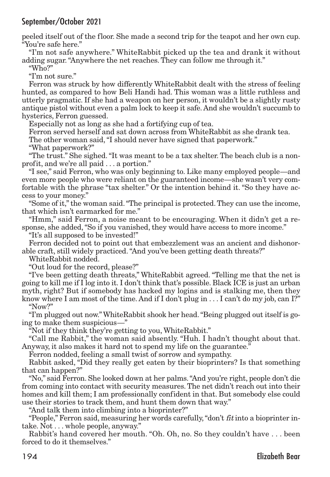peeled itself out of the floor. She made a second trip for the teapot and her own cup. "You're safe here."

"I'm not safe anywhere." WhiteRabbit picked up the tea and drank it without adding sugar."Anywhere the net reaches. They can follow me through it."

"Who?"

"I'm not sure."

Ferron was struck by how differently WhiteRabbit dealt with the stress of feeling hunted, as compared to how Beli Handi had. This woman was a little ruthless and utterly pragmatic. If she had a weapon on her person, it wouldn't be a slightly rusty antique pistol without even a palm lock to keep it safe. And she wouldn't succumb to hysterics, Ferron guessed.

Especially not as long as she had a fortifying cup of tea.

Ferron served herself and sat down across from WhiteRabbit as she drank tea.

The other woman said, "I should never have signed that paperwork."

"What paperwork?"

"The trust." She sighed."It was meant to be a tax shelter. The beach club is a nonprofit, and we're all paid . . . a portion."

"I see," said Ferron, who was only beginning to. Like many employed people—and even more people who were reliant on the guaranteed income—she wasn't very comfortable with the phrase "tax shelter." Or the intention behind it. "So they have access to your money."

"Some of it,"the woman said."The principal is protected.They can use the income, that which isn't earmarked for me."

"Hmm," said Ferron, a noise meant to be encouraging. When it didn't get a response, she added,"So if you vanished, they would have access to more income."

"It's all supposed to be invested!"

Ferron decided not to point out that embezzlement was an ancient and dishonorable craft, still widely practiced."And you've been getting death threats?"

WhiteRabbit nodded.

"Out loud for the record, please?"

"I've been getting death threats," WhiteRabbit agreed. "Telling me that the net is going to kill me if I log into it. I don't think that's possible. Black ICE is just an urban myth, right? But if somebody has hacked my logins and is stalking me, then they know where I am most of the time. And if I don't plug in . . . I can't do my job, can I?" "Now?"

"I'm plugged out now."WhiteRabbit shook her head."Being plugged out itself is going to make them suspicious—"

"Not if they think they're getting to you, WhiteRabbit."

"Call me Rabbit," the woman said absently. "Huh. I hadn't thought about that. Anyway, it also makes it hard not to spend my life on the guarantee."

Ferron nodded, feeling a small twist of sorrow and sympathy.

Rabbit asked, "Did they really get eaten by their bioprinters? Is that something that can happen?"

"No," said Ferron. She looked down at her palms."And you're right, people don't die from coming into contact with security measures.The net didn't reach out into their homes and kill them; I am professionally confident in that. But somebody else could use their stories to track them, and hunt them down that way."

"And talk them into climbing into a bioprinter?"

"People," Ferron said, measuring her words carefully, "don't  $fit$  into a bioprinter intake. Not . . . whole people, anyway."

Rabbit's hand covered her mouth. "Oh. Oh, no. So they couldn't have . . . been forced to do it themselves."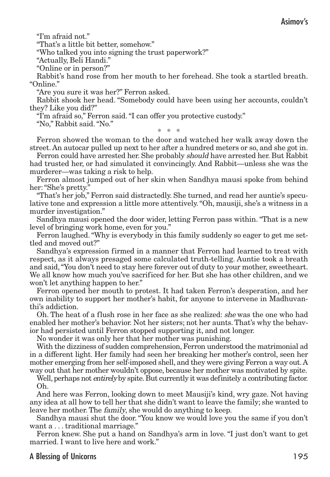"I'm afraid not."

"That's a little bit better, somehow."

"Who talked you into signing the trust paperwork?"

"Actually, Beli Handi."

"Online or in person?"

Rabbit's hand rose from her mouth to her forehead. She took a startled breath. "Online."

"Are you sure it was her?" Ferron asked.

Rabbit shook her head. "Somebody could have been using her accounts, couldn't they? Like you did?"

"I'm afraid so," Ferron said."I can offer you protective custody."

"No," Rabbit said."No."

\* \* \*

Ferron showed the woman to the door and watched her walk away down the street. An autocar pulled up next to her after a hundred meters or so, and she got in.

Ferron could have arrested her. She probably should have arrested her. But Rabbit had trusted her, or had simulated it convincingly. And Rabbit—unless she was the murderer—was taking a risk to help.

Ferron almost jumped out of her skin when Sandhya mausi spoke from behind her:"She's pretty."

"That's her job," Ferron said distractedly. She turned, and read her auntie's speculative tone and expression a little more attentively."Oh, mausiji, she's a witness in a murder investigation."

Sandhya mausi opened the door wider, letting Ferron pass within."That is a new level of bringing work home, even for you."

Ferron laughed."Why is everybody in this family suddenly so eager to get me settled and moved out?"

Sandhya's expression firmed in a manner that Ferron had learned to treat with respect, as it always presaged some calculated truth-telling. Auntie took a breath and said,"You don't need to stay here forever out of duty to your mother, sweetheart. We all know how much you've sacrificed for her. But she has other children, and we won't let anything happen to her."

Ferron opened her mouth to protest. It had taken Ferron's desperation, and her own inability to support her mother's habit, for anyone to intervene in Madhuvanthi's addiction.

Oh. The heat of a flush rose in her face as she realized: she was the one who had enabled her mother's behavior. Not her sisters; not her aunts.That's why the behavior had persisted until Ferron stopped supporting it, and not longer.

No wonder it was only her that her mother was punishing.

With the dizziness of sudden comprehension, Ferron understood the matrimonial ad in a different light. Her family had seen her breaking her mother's control, seen her mother emerging from her self-imposed shell, and they were giving Ferron a way out.A way out that her mother wouldn't oppose, because her mother was motivated by spite.

Well, perhaps not *entirely* by spite. But currently it was definitely a contributing factor. Oh.

And here was Ferron, looking down to meet Mausiji's kind, wry gaze. Not having any idea at all how to tell her that she didn't want to leave the family; she wanted to leave her mother. The family, she would do anything to keep.

Sandhya mausi shut the door."You know we would love you the same if you don't want a . . . traditional marriage."

Ferron knew. She put a hand on Sandhya's arm in love. "I just don't want to get married. I want to live here and work."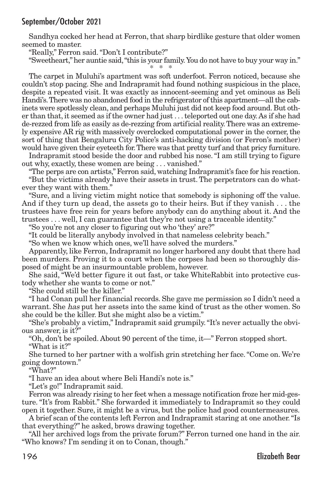Sandhya cocked her head at Ferron, that sharp birdlike gesture that older women seemed to master.

"Really," Ferron said."Don't I contribute?"

"Sweetheart,"her auntie said,"this is your family.You do not have to buy your way in." \* \* \*

The carpet in Muluhi's apartment was soft underfoot. Ferron noticed, because she couldn't stop pacing. She and Indrapramit had found nothing suspicious in the place, despite a repeated visit. It was exactly as innocent-seeming and yet ominous as Beli Handi's. There was no abandoned food in the refrigerator of this apartment—all the cabinets were spotlessly clean, and perhaps Muluhi just did not keep food around. But other than that, it seemed as if the owner had just . . .teleported out one day.As if she had de-rezzed from life as easily as de-rezzing from artificial reality.There was an extremely expensive AR rig with massively overclocked computational power in the corner, the sort of thing that Bengaluru City Police's anti-hacking division (or Ferron's mother) would have given their eyeteeth for.There was that pretty turf and that pricy furniture.

Indrapramit stood beside the door and rubbed his nose."I am still trying to figure out why, exactly, these women are being . . . vanished."

"The perps are con artists,"Ferron said, watching Indrapramit's face for his reaction.

"But the victims already have their assets in trust. The perpetrators can do whatever they want with them."

"Sure, and a living victim might notice that somebody is siphoning off the value. And if they turn up dead, the assets go to their heirs. But if they vanish . . . the trustees have free rein for years before anybody can do anything about it. And the trustees . . . well, I can guarantee that they're not using a traceable identity."

"So you're not any closer to figuring out who 'they' are?"

"It could be literally anybody involved in that nameless celebrity beach."

"So when we know which ones, we'll have solved the murders."

Apparently, like Ferron, Indrapramit no longer harbored any doubt that there had been murders. Proving it to a court when the corpses had been so thoroughly disposed of might be an insurmountable problem, however.

She said, "We'd better figure it out fast, or take WhiteRabbit into protective custody whether she wants to come or not."

"She could still be the killer."

"I had Conan pull her financial records. She gave me permission so I didn't need a warrant. She has put her assets into the same kind of trust as the other women. So she could be the killer. But she might also be a victim."

"She's probably a victim," Indrapramit said grumpily."It's never actually the obvious answer, is it?"

"Oh, don't be spoiled. About 90 percent of the time, it—" Ferron stopped short. "What is it?"

She turned to her partner with a wolfish grin stretching her face."Come on.We're going downtown."

"What?"

"I have an idea about where Beli Handi's note is."

"Let's go!" Indrapramit said.

Ferron was already rising to her feet when a message notification froze her mid-gesture. "It's from Rabbit." She forwarded it immediately to Indrapramit so they could open it together. Sure, it might be a virus, but the police had good countermeasures.

A brief scan of the contents left Ferron and Indrapramit staring at one another."Is that everything?" he asked, brows drawing together.

"All her archived logs from the private forum?" Ferron turned one hand in the air. "Who knows? I'm sending it on to Conan, though."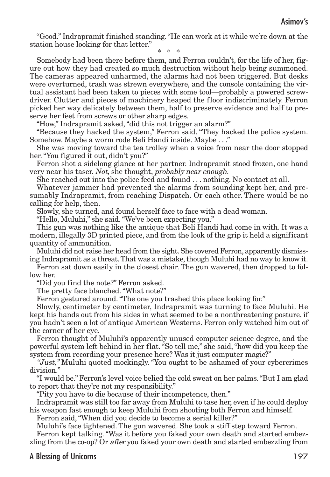"Good." Indrapramit finished standing."He can work at it while we're down at the station house looking for that letter."

\* \* \*

Somebody had been there before them, and Ferron couldn't, for the life of her, figure out how they had created so much destruction without help being summoned. The cameras appeared unharmed, the alarms had not been triggered. But desks were overturned, trash was strewn everywhere, and the console containing the virtual assistant had been taken to pieces with some tool—probably a powered screwdriver. Clutter and pieces of machinery heaped the floor indiscriminately. Ferron picked her way delicately between them, half to preserve evidence and half to preserve her feet from screws or other sharp edges.

"How," Indrapramit asked, "did this not trigger an alarm?"

"Because they hacked the system," Ferron said. "They hacked the police system. Somehow. Maybe a worm rode Beli Handi inside. Maybe . . ."

She was moving toward the tea trolley when a voice from near the door stopped her."You figured it out, didn't you?"

Ferron shot a sidelong glance at her partner. Indrapramit stood frozen, one hand very near his taser. Not, she thought, probably near enough.

She reached out into the police feed and found . . . nothing. No contact at all.

Whatever jammer had prevented the alarms from sounding kept her, and presumably Indrapramit, from reaching Dispatch. Or each other. There would be no calling for help, then.

Slowly, she turned, and found herself face to face with a dead woman.

"Hello, Muluhi," she said."We've been expecting you."

This gun was nothing like the antique that Beli Handi had come in with. It was a modern, illegally 3D printed piece, and from the look of the grip it held a significant quantity of ammunition.

Muluhi did not raise her head from the sight. She covered Ferron, apparently dismissing Indrapramit as a threat. That was a mistake, though Muluhi had no way to know it.

Ferron sat down easily in the closest chair. The gun wavered, then dropped to follow her.

"Did you find the note?" Ferron asked.

The pretty face blanched."What note?"

Ferron gestured around."The one you trashed this place looking for."

Slowly, centimeter by centimeter, Indrapramit was turning to face Muluhi. He kept his hands out from his sides in what seemed to be a nonthreatening posture, if you hadn't seen a lot of antique American Westerns. Ferron only watched him out of the corner of her eye.

Ferron thought of Muluhi's apparently unused computer science degree, and the powerful system left behind in her flat."So tell me," she said,"how did you keep the system from recording your presence here? Was it just computer magic?"

"Just," Muluhi quoted mockingly. "You ought to be ashamed of your cybercrimes division."

"I would be." Ferron's level voice belied the cold sweat on her palms."But I am glad to report that they're not my responsibility."

"Pity you have to die because of their incompetence, then."

Indrapramit was still too far away from Muluhi to tase her, even if he could deploy his weapon fast enough to keep Muluhi from shooting both Ferron and himself.

Ferron said,"When did you decide to become a serial killer?"

Muluhi's face tightened. The gun wavered. She took a stiff step toward Ferron. Ferron kept talking. "Was it before you faked your own death and started embezzling from the co-op? Or after you faked your own death and started embezzling from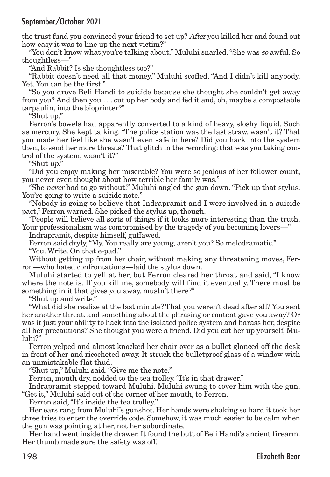the trust fund you convinced your friend to set up? After you killed her and found out how easy it was to line up the next victim?"

"You don't know what you're talking about," Muluhi snarled."She was so awful. So thoughtless—"

"And Rabbit? Is she thoughtless too?"

"Rabbit doesn't need all that money," Muluhi scoffed. "And I didn't kill anybody. Yet. You can be the first."

"So you drove Beli Handi to suicide because she thought she couldn't get away from you? And then you . . . cut up her body and fed it and, oh, maybe a compostable tarpaulin, into the bioprinter?"

"Shut up."

Ferron's bowels had apparently converted to a kind of heavy, sloshy liquid. Such as mercury. She kept talking. "The police station was the last straw, wasn't it? That you made her feel like she wasn't even safe in here? Did you hack into the system then, to send her more threats? That glitch in the recording: that was you taking control of the system, wasn't it?"

"Shut up."

"Did you enjoy making her miserable? You were so jealous of her follower count, you never even thought about how terrible her family was."

"She never had to go without!" Muluhi angled the gun down."Pick up that stylus. You're going to write a suicide note."

"Nobody is going to believe that Indrapramit and I were involved in a suicide pact," Ferron warned. She picked the stylus up, though.

"People will believe all sorts of things if it looks more interesting than the truth. Your professionalism was compromised by the tragedy of you becoming lovers—"

Indrapramit, despite himself, guffawed.

Ferron said dryly,"My. You really are young, aren't you? So melodramatic." "You. Write. On that e-pad."

Without getting up from her chair, without making any threatening moves, Ferron—who hated confrontations—laid the stylus down.

Muluhi started to yell at her, but Ferron cleared her throat and said, "I know where the note is. If you kill me, somebody will find it eventually. There must be something in it that gives you away, mustn't there?"

"Shut up and write."

"What did she realize at the last minute? That you weren't dead after all? You sent her another threat, and something about the phrasing or content gave you away? Or was it just your ability to hack into the isolated police system and harass her, despite all her precautions? She thought you were a friend. Did you cut her up yourself, Muluhi?"

Ferron yelped and almost knocked her chair over as a bullet glanced off the desk in front of her and ricocheted away. It struck the bulletproof glass of a window with an unmistakable flat thud.

"Shut up," Muluhi said."Give me the note."

Ferron, mouth dry, nodded to the tea trolley. "It's in that drawer."

Indrapramit stepped toward Muluhi. Muluhi swung to cover him with the gun. "Get it," Muluhi said out of the corner of her mouth, to Ferron.

Ferron said, "It's inside the tea trolley."

Her ears rang from Muluhi's gunshot. Her hands were shaking so hard it took her three tries to enter the override code. Somehow, it was much easier to be calm when the gun was pointing at her, not her subordinate.

Her hand went inside the drawer. It found the butt of Beli Handi's ancient firearm. Her thumb made sure the safety was off.